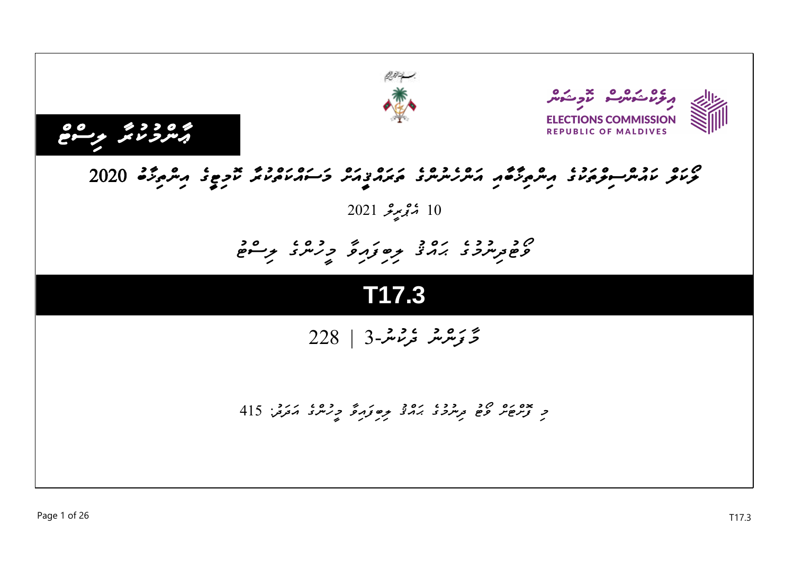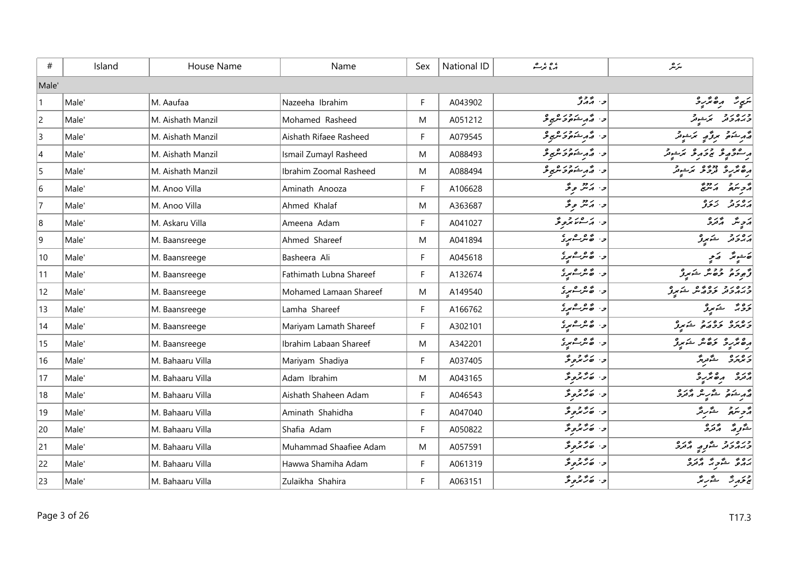| #              | Island | House Name        | Name                    | Sex       | National ID | ، ه ، بر <u>م</u>                        | ىئرىتر                       |
|----------------|--------|-------------------|-------------------------|-----------|-------------|------------------------------------------|------------------------------|
| Male'          |        |                   |                         |           |             |                                          |                              |
|                | Male'  | M. Aaufaa         | Nazeeha Ibrahim         | F         | A043902     | د . پېړنې                                | ىئىي مەھمىرو                 |
| $ 2\rangle$    | Male'  | M. Aishath Manzil | Mohamed Rasheed         | M         | A051212     | و . رژو شود شيو د                        | ورەرو كەنبوتر                |
| $\vert$ 3      | Male'  | M. Aishath Manzil | Aishath Rifaee Rasheed  | F         | A079545     | ر <i>، مگهر شور شهر گر</i>               | أأوجده برؤيا برجون           |
| $\vert 4$      | Male'  | M. Aishath Manzil | Ismail Zumayl Rasheed   | M         | A088493     | ه زمانه شود شي                           | ر جۇم ئى ئەر ئىچىد           |
| $\overline{5}$ | Male'  | M. Aishath Manzil | Ibrahim Zoomal Rasheed  | ${\sf M}$ | A088494     | و . مگر شور شهور                         | أرە ئەرە بودە بەلىدە         |
| $\overline{6}$ | Male'  | M. Anoo Villa     | Aminath Anooza          | F         | A106628     | و· مَتْرٌ وِمَّ                          | ה ביתוך החודשי               |
| $\vert$ 7      | Male'  | M. Anoo Villa     | Ahmed Khalaf            | M         | A363687     | د . مەنتر جەنخە                          | برەر بەرە                    |
| 8              | Male'  | M. Askaru Villa   | Ameena Adam             | F         | A041027     | د · م <sup>ر</sup> شى <i>مىتى بى</i> ر   | ړَ پر ډېره                   |
| 9              | Male'  | M. Baansreege     | Ahmed Shareef           | M         | A041894     | د . ځې شرېږي                             | ړه رو شمېرو                  |
| 10             | Male'  | M. Baansreege     | Basheera Ali            | F         | A045618     | د . ھُنگر ڪمبري                          | ەشىر كەم                     |
| 11             | Male'  | M. Baansreege     | Fathimath Lubna Shareef | F         | A132674     | د . ځې شرېږي                             | ژُودَه دهش شریرو             |
| 12             | Male'  | M. Baansreege     | Mohamed Lamaan Shareef  | M         | A149540     | د . ځې شرېږي                             | ورەر د رەپ ھ شەرد            |
| 13             | Male'  | M. Baansreege     | Lamha Shareef           | F         | A166762     | د . ھُنگر ڪمبري                          | تروبژ ڪيرو                   |
| 14             | Male'  | M. Baansreege     | Mariyam Lamath Shareef  | F         | A302101     | <br> و· ځېر شومړی                        | و و ده ده ده شکم و           |
| 15             | Male'  | M. Baansreege     | Ibrahim Labaan Shareef  | M         | A342201     | د <sub>۱</sub> گەنگرىقىمى <sub>د</sub> ى | رە ئرىر ئۇقىر خېرۇ           |
| 16             | Male'  | M. Bahaaru Villa  | Mariyam Shadiya         | F         | A037405     | د . ځرنگرونژ                             | و مرد و شورد                 |
| 17             | Male'  | M. Bahaaru Villa  | Adam Ibrahim            | M         | A043165     | د · گارگروگر                             | وره مصرور                    |
| 18             | Male'  | M. Bahaaru Villa  | Aishath Shaheen Adam    | F         | A046543     | و· ئۇ ئەتمەر ئى                          | وأرجنكم الحارش والارد        |
| 19             | Male'  | M. Bahaaru Villa  | Aminath Shahidha        | F         | A047040     | د . ځه تروڅ                              | ومحر سكر المستقر ومحر        |
| 20             | Male'  | M. Bahaaru Villa  | Shafia Adam             | F         | A050822     | د · <i>گارگارگا</i>                      | شَورة مُرَّرَّد              |
| 21             | Male'  | M. Bahaaru Villa  | Muhammad Shaafiee Adam  | M         | A057591     | د . <i>گار پور</i> و څ                   | ورەرو ئۇن مەدە               |
| 22             | Male'  | M. Bahaaru Villa  | Hawwa Shamiha Adam      | F         | A061319     | د · <i>گارگارگا</i>                      | روء شردند مدرد<br>مدرو شردند |
| 23             | Male'  | M. Bahaaru Villa  | Zulaikha Shahira        | F         | A063151     | د . گارگروڭر                             | تحكم وتشريحه                 |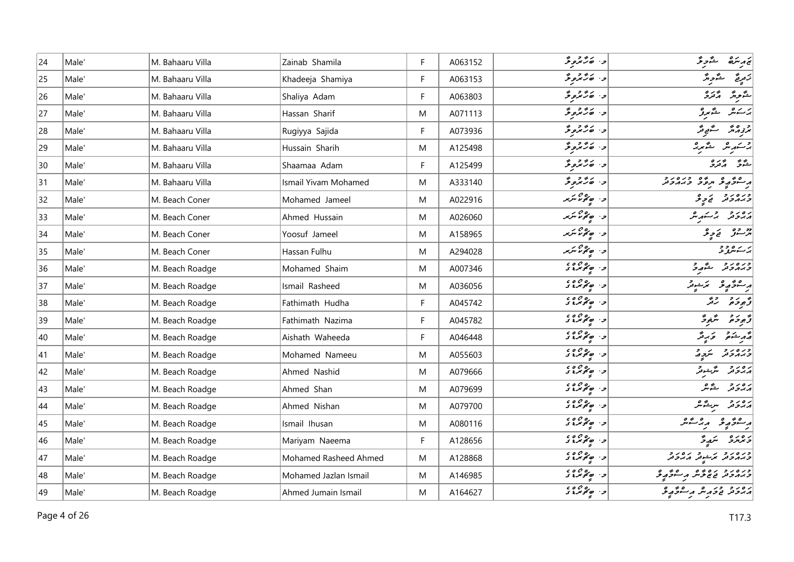| 24 | Male' | M. Bahaaru Villa | Zainab Shamila        | $\mathsf F$ | A063152 | د <i>. کارگرو</i> گر                  | شەرگە<br>سم مرسر شر<br>م                        |
|----|-------|------------------|-----------------------|-------------|---------|---------------------------------------|-------------------------------------------------|
| 25 | Male' | M. Bahaaru Villa | Khadeeja Shamiya      | $\mathsf F$ | A063153 | د <i>. ځرگېږد</i> گر                  | تر ور <sup>و</sup> جً<br> <br> <br>مشَّرْ بَرُّ |
| 26 | Male' | M. Bahaaru Villa | Shaliya Adam          | F           | A063803 | د ەرمۇرۇ                              | ڪُرِبَرُ<br>پور ہ<br>مرتزو                      |
| 27 | Male' | M. Bahaaru Villa | Hassan Sharif         | M           | A071113 | ە ئەمزىمرە بۇ                         | بركسكر كمشرو                                    |
| 28 | Male' | M. Bahaaru Villa | Rugiyya Sajida        | $\mathsf F$ | A073936 | د . گار تروڅ                          | برومة كسموقه                                    |
| 29 | Male' | M. Bahaaru Villa | Hussain Sharih        | M           | A125498 | ر ، ئەترىمۇ ئۇ                        | برستهرش كمقبر                                   |
| 30 | Male' | M. Bahaaru Villa | Shaamaa Adam          | $\mathsf F$ | A125499 | ر <i>، ئەزگىرە</i> ئ                  | شَرَقَ " درو                                    |
| 31 | Male' | M. Bahaaru Villa | Ismail Yivam Mohamed  | M           | A333140 | د ځونگرونځه                           | د صورته و مرور و دره د و                        |
| 32 | Male' | M. Beach Coner   | Mohamed Jameel        | M           | A022916 | <sub>ت ھ</sub> مچرىئىگە               |                                                 |
| 33 | Male' | M. Beach Coner   | Ahmed Hussain         | M           | A026060 | <sub>ت ھ</sub> چر مگر مر              | رەرو جەسىر ش                                    |
| 34 | Male' | M. Beach Coner   | Yoosuf Jameel         | M           | A158965 | اد . ھەممىتىر                         | در ده پي د کار د                                |
| 35 | Male' | M. Beach Coner   | Hassan Fulhu          | M           | A294028 | ا د .<br>په هېوم مترس                 | ىز سەھرى <sub>چە</sub> ج                        |
| 36 | Male' | M. Beach Roadge  | Mohamed Shaim         | M           | A007346 | $rac{1}{555560}$                      | ورەرو شەر                                       |
| 37 | Male' | M. Beach Roadge  | Ismail Rasheed        | M           | A036056 |                                       | ر جۇرچى ئەجەم                                   |
| 38 | Male' | M. Beach Roadge  | Fathimath Hudha       | F           | A045742 |                                       | $\frac{2}{2}$ $\frac{2}{3}$                     |
| 39 | Male' | M. Beach Roadge  | Fathimath Nazima      | $\mathsf F$ | A045782 | 58780.5                               | توجوخو ستبوح                                    |
| 40 | Male' | M. Beach Roadge  | Aishath Waheeda       | F           | A046448 | 58780.5                               | أقهر شكافها وكالمحافية                          |
| 41 | Male' | M. Beach Roadge  | Mohamed Nameeu        | M           | A055603 | وسي هم مردوع                          | כנסנכ תבל                                       |
| 42 | Male' | M. Beach Roadge  | Ahmed Nashid          | M           | A079666 | $rac{1}{555560}$                      | رەر دېگرىشەتر                                   |
| 43 | Male' | M. Beach Roadge  | Ahmed Shan            | M           | A079699 | $rac{1}{555560}$                      | رەر ئەشكىر                                      |
| 44 | Male' | M. Beach Roadge  | Ahmed Nishan          | M           | A079700 | $rac{1}{555560}$                      | رەرو سىشەر                                      |
| 45 | Male' | M. Beach Roadge  | Ismail Ihusan         | M           | A080116 | 58580.5                               | ر عۇرپۇ روشگىر                                  |
| 46 | Male' | M. Beach Roadge  | Mariyam Naeema        | F           | A128656 | $rac{1}{2}$                           | و ورو شهردٌ                                     |
| 47 | Male' | M. Beach Roadge  | Mohamed Rasheed Ahmed | M           | A128868 | $rac{1}{5}$                           | ورەرو برخونه كەرو                               |
| 48 | Male' | M. Beach Roadge  | Mohamed Jazlan Ismail | M           | A146985 | $ e^{i\theta}e^{i\theta}e^{i\theta} $ | ورەرو رەپوش مەھەم ئ                             |
| 49 | Male' | M. Beach Roadge  | Ahmed Jumain Ismail   | M           | A164627 | $rac{1}{555560}$                      | أرورو ورزهر مرتفقهو                             |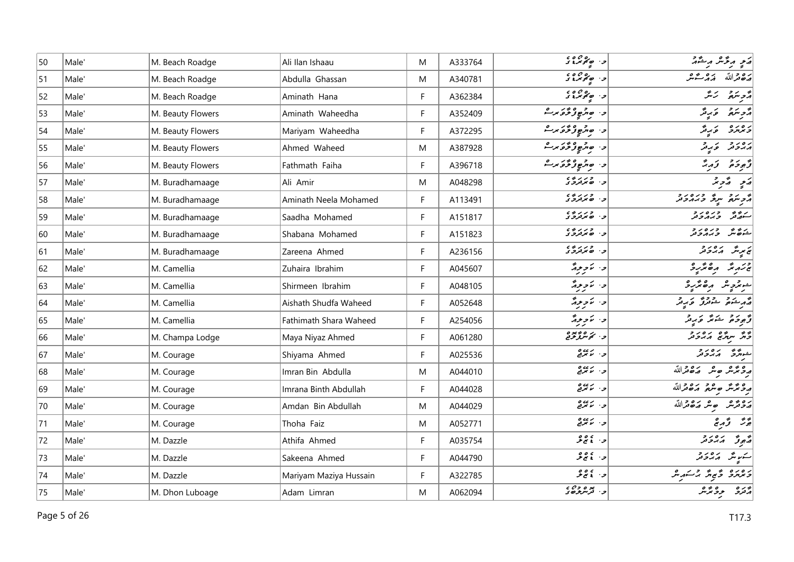| 50 | Male' | M. Beach Roadge   | Ali Ilan Ishaau        | M         | A333764 | $rac{1}{5!}$                           | أقذم وقرشر وبتقاتر                     |
|----|-------|-------------------|------------------------|-----------|---------|----------------------------------------|----------------------------------------|
| 51 | Male' | M. Beach Roadge   | Abdulla Ghassan        | ${\sf M}$ | A340781 | $52280 - 5$                            | ەھىراللە<br>ز د <sub>م</sub> ر شهر     |
| 52 | Male' | M. Beach Roadge   | Aminath Hana           | F         | A362384 | $rac{1}{5}$                            | أأروسهم أرتكه                          |
| 53 | Male' | M. Beauty Flowers | Aminath Waheedha       | F         | A352409 | و و موره و ژوکر برگ                    | أزويتم قاريته                          |
| 54 | Male' | M. Beauty Flowers | Mariyam Waheedha       | F         | A372295 | د و مربو ژگر در مرب <sup>م</sup>       | و ه ده و د تر                          |
| 55 | Male' | M. Beauty Flowers | Ahmed Waheed           | M         | A387928 | د ۱۵ مربع ژ څرم برگ                    | برەر د پر تە                           |
| 56 | Male' | M. Beauty Flowers | Fathmath Faiha         | F         | A396718 | د و مربو ژگر در م                      | تزودة زربر                             |
| 57 | Male' | M. Buradhamaage   | Ali Amir               | ${\sf M}$ | A048298 | و . و ر ر » ،<br>و · ه مرتزو د         | أەيم ورمز                              |
| 58 | Male' | M. Buradhamaage   | Aminath Neela Mohamed  | F         | A113491 | و . در ره .<br>و . ه مرتزو د           | הקיימה ייקב בג'הכת                     |
| 59 | Male' | M. Buradhamaage   | Saadha Mohamed         | F         | A151817 | و ر د د د د و د<br>و ۰ می موترو د      | سەر درەرد<br>سەھەر جەمەدىر             |
| 60 | Male' | M. Buradhamaage   | Shabana Mohamed        | F         | A151823 | و ر ر د د د<br>و ۰ ن موتورو د          | شەڭ دىرەرد                             |
| 61 | Male' | M. Buradhamaage   | Zareena Ahmed          | F         | A236156 | و ر ر د د و د<br>و ۰ ه موفرو د         | كالمحمومتر المرور والمحمد              |
| 62 | Male' | M. Camellia       | Zuhaira Ibrahim        | F         | A045607 | ه <i>، مأد وب</i> ر                    | בנגיל גשילקיב                          |
| 63 | Male' | M. Camellia       | Shirmeen Ibrahim       | F         | A048105 | و· ئۈچەرگە                             | جويزوير وهنزرد                         |
| 64 | Male' | M. Camellia       | Aishath Shudfa Waheed  | F         | A052648 | و· عَجَ مِعْهُمْ                       | د ديده دوده د در<br>د مشور شومرز کار د |
| 65 | Male' | M. Camellia       | Fathimath Shara Waheed | F         | A254056 | ه ، ئاپرېدگا                           | توجوحو خنثر وبرقر                      |
| 66 | Male' | M. Champa Lodge   | Maya Niyaz Ahmed       | F         | A061280 | و . نمی موروده<br>و . نمی مورود و      | و مرسم مدور                            |
| 67 | Male' | M. Courage        | Shiyama Ahmed          | F         | A025536 | و· م <i>ذكرة</i><br>و· م <i>ذكي</i> رة | شەرق كەردىر                            |
| 68 | Male' | M. Courage        | Imran Bin Abdulla      | M         | A044010 | و<br>و                                 | محترش جنثر مكافرالله                   |
| 69 | Male' | M. Courage        | Imrana Binth Abdullah  | F         | A044028 | و<br>و                                 | ودعمتر ومعرد ودالله                    |
| 70 | Male' | M. Courage        | Amdan Bin Abdullah     | M         | A044029 | و<br>و توقع                            | رە دە ھىر مەھىراللە                    |
| 71 | Male' | M. Courage        | Thoha Faiz             | M         | A052771 | و· م <i>م</i> كن ه<br>و· ممكن          | يجرش قرمريح                            |
| 72 | Male' | M. Dazzle         | Athifa Ahmed           | F         | A035754 | د ، ، ، محامحه                         | أشهوق أكالرد                           |
| 73 | Male' | M. Dazzle         | Sakeena Ahmed          | F         | A044790 | $rac{0}{2}$ $rac{0}{2}$ $rac{0}{2}$    | سەر شەر ئەر ئەر                        |
| 74 | Male' | M. Dazzle         | Mariyam Maziya Hussain | F         | A322785 | ى ، ، ، ، ، ،                          | במתר לאת גלאתית                        |
| 75 | Male' | M. Dhon Luboage   | Adam Limran            | ${\sf M}$ | A062094 | ر بره وړ ،<br>د افرمنز <i>وه</i> د     | أرمزد وويرس                            |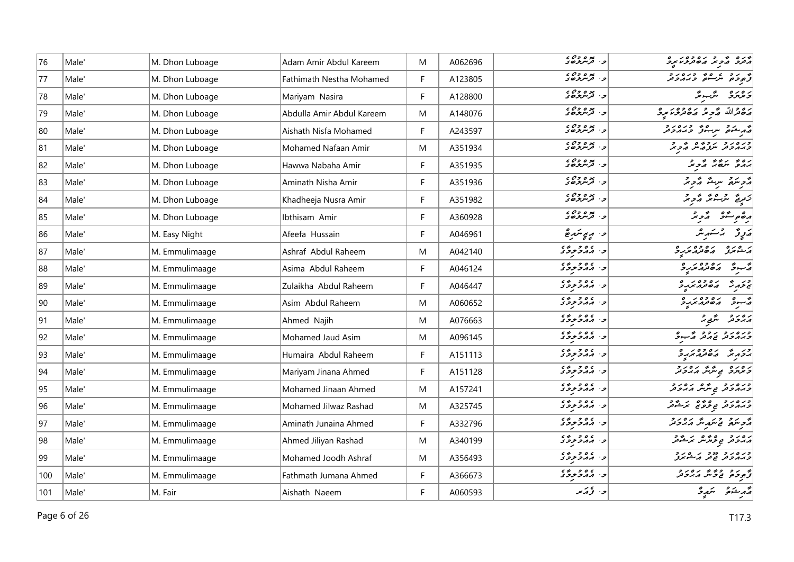| 76  | Male' | M. Dhon Luboage | Adam Amir Abdul Kareem    | M  | A062696 | پر ه و <i>۵۶</i><br>و۰ ترسرون <sub>ک</sub>                                               | ינים היכה הסיניביות.<br>היניב היכה הסיניביות               |
|-----|-------|-----------------|---------------------------|----|---------|------------------------------------------------------------------------------------------|------------------------------------------------------------|
| 77  | Male' | M. Dhon Luboage | Fathimath Nestha Mohamed  | F. | A123805 | و . موروم <i>و .</i><br>و . موسر <i>و ه د</i>                                            | و د د ه ه و دره د د<br>گرجوده سرسوه و پرمرونر              |
| 78  | Male' | M. Dhon Luboage | Mariyam Nasira            | F. | A128800 | ر بره وړ ،<br>و ۰ ترسرون <sub>ک</sub>                                                    | رەرە شەر                                                   |
| 79  | Male' | M. Dhon Luboage | Abdulla Amir Abdul Kareem | M  | A148076 | پر ه و <i>۵ و</i><br>و ۰ ترسرون <sub>ک</sub>                                             | رە داللە كەر بەرە دەر بە                                   |
| 80  | Male' | M. Dhon Luboage | Aishath Nisfa Mohamed     | F. | A243597 | پر ه و <i>۵ و</i><br>و ۰ ترسرون <sub>ک</sub>                                             | د د شکوه سرب و د و د و                                     |
| 81  | Male' | M. Dhon Luboage | Mohamed Nafaan Amir       | M  | A351934 | ر بره وo<br>و ۰ ترسرون و                                                                 | כנסנכ נכשם שבי                                             |
| 82  | Male' | M. Dhon Luboage | Hawwa Nabaha Amir         | F  | A351935 | ر بره وړ ،<br>و ۰ ترسرون <sub>ک</sub>                                                    | رەپ رىپ پەر                                                |
| 83  | Male' | M. Dhon Luboage | Aminath Nisha Amir        | F. | A351936 | پر ه و ۵ و.<br>و ۰ ترسرون و                                                              | مُرْدِسَمْ سِتْ مُرْدِيْر                                  |
| 84  | Male' | M. Dhon Luboage | Khadheeja Nusra Amir      | F. | A351982 | ر بره وه و<br>د انگر مرکز من                                                             | ترىرى ئىربامۇ كەرلىر                                       |
| 85  | Male' | M. Dhon Luboage | Ibthisam Amir             | F  | A360928 | ر بره وه و<br>د انگر مرکز من                                                             |                                                            |
| 86  | Male' | M. Easy Night   | Afeefa Hussain            | F  | A046961 | ح <sub>" مر</sub> ىپ سَرىر ھ                                                             | ړېږ پر شمېر شر                                             |
| 87  | Male' | M. Emmulimaage  | Ashraf Abdul Raheem       | M  | A042140 | ם י ההכיכבים<br>כי ההכיכבים                                                              | ره وه ر ره<br>پره تربر تربر و<br>ر ه ه بر ه<br>مر شو مر بو |
| 88  | Male' | M. Emmulimaage  | Asima Abdul Raheem        | F  | A046124 | י ההכיכיבי<br>כי ההכיכיבי                                                                | ره وه ر ره<br>پره تربر تربر ژ<br>رژب ژ                     |
| 89  | Male' | M. Emmulimaage  | Zulaikha Abdul Raheem     | F. | A046447 | ם ו החבבבים<br>כי החבבבים                                                                | ره وه ر ره<br>پره تربر تر پر و<br>تح څرمر پڅ               |
| 90  | Male' | M. Emmulimaage  | Asim Abdul Raheem         | M  | A060652 | $\begin{array}{cc} 2 & 2 & 0 & 0 \\ 2 & 2 & 2 & 0 \\ 0 & 0 & 0 \\ 0 & 0 & 0 \end{array}$ | ره وه ر ره<br>پره تربر تربر ژ<br>لقسبوقه                   |
| 91  | Male' | M. Emmulimaage  | Ahmed Najih               | M  | A076663 | ם י ההכתבבים<br>כי ההכתבים                                                               | ىرەر ئەستىم ئى                                             |
| 92  | Male' | M. Emmulimaage  | Mohamed Jaud Asim         | M  | A096145 | ם י ההכתביבי<br>כי ההכתביבי                                                              |                                                            |
| 93  | Male' | M. Emmulimaage  | Humaira Abdul Raheem      | F. | A151113 | י ההכיכיבי<br>כי ההכיכיבי                                                                | בגב, בסעגבגב                                               |
| 94  | Male' | M. Emmulimaage  | Mariyam Jinana Ahmed      | F. | A151128 | $555500 - 5$                                                                             | رەرە يې شەرەرد                                             |
| 95  | Male' | M. Emmulimaage  | Mohamed Jinaan Ahmed      | M  | A157241 | י ההכתבי<br>כי ההכתביב                                                                   | ورەر دېم دەر د                                             |
| 96  | Male' | M. Emmulimaage  | Mohamed Jilwaz Rashad     | M  | A325745 | ם יו ההכיכבים<br>כי ההכיכבים                                                             | ورەر دەھ ھەر بەر                                           |
| 97  | Male' | M. Emmulimaage  | Aminath Junaina Ahmed     | F  | A332796 | ے و و وے<br>د اما <i>م حر</i> ق                                                          | הכיעל ביתול היכנ                                           |
| 98  | Male' | M. Emmulimaage  | Ahmed Jiliyan Rashad      | M  | A340199 | ם י ההכככב<br>כי ההכככב                                                                  | رەر دې ھەر كەشەر                                           |
| 99  | Male' | M. Emmulimaage  | Mohamed Joodh Ashraf      | M  | A356493 | $555500 - 5$                                                                             | وره ر د دود د ره ر د<br><i>د ب</i> رمرد نو تر من شو برو    |
| 100 | Male' | M. Emmulimaage  | Fathmath Jumana Ahmed     | F. | A366673 | $555500 - 5$                                                                             | و د د ده و ده د و                                          |
| 101 | Male' | M. Fair         | Aishath Naeem             | F  | A060593 | وسيح وكرمر                                                                               | أقهر شوقه سكورة                                            |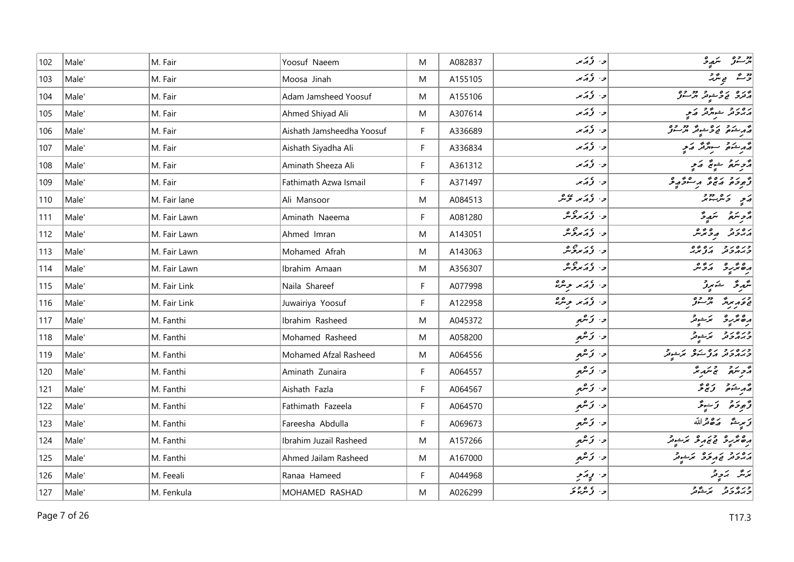| 102 | Male' | M. Fair      | Yoosuf Naeem              | M | A082837 | والمؤثر تبر            | سَمِهِ رَ<br>در وه<br>در سور                                                                     |
|-----|-------|--------------|---------------------------|---|---------|------------------------|--------------------------------------------------------------------------------------------------|
| 103 | Male' | M. Fair      | Moosa Jinah               | M | A155105 | وسؤيرير                | لرحمش محر يمركز                                                                                  |
| 104 | Male' | M. Fair      | Adam Jamsheed Yoosuf      | M | A155106 | والمؤثر تبر            | وره ده ده ده ده<br>مرکزی <sub>فک</sub> وش <sub>و</sub> گر ا <i>لرستو</i>                         |
| 105 | Male' | M. Fair      | Ahmed Shiyad Ali          | M | A307614 | والمحكم تمرمر          | أرور والمستحقق أتكمي                                                                             |
| 106 | Male' | M. Fair      | Aishath Jamsheedha Yoosuf | F | A336689 | والمؤثر تبر            | و در د ده شوتگر دد وه<br>در شوه نور شوتگر در سوز                                                 |
| 107 | Male' | M. Fair      | Aishath Siyadha Ali       | F | A336834 | والمحادثهم             | أقهر منتفرة المسترقش وكمعي                                                                       |
| 108 | Male' | M. Fair      | Aminath Sheeza Ali        | F | A361312 | والمؤثر تبر            | أأرضكم سيبح أيمي                                                                                 |
| 109 | Male' | M. Fair      | Fathimath Azwa Ismail     | F | A371497 | وستحار بمر             | ومدد ده و مستور و                                                                                |
| 110 | Male' | M. Fair lane | Ali Mansoor               | M | A084513 | وسى كەر ئەھر           | $\begin{bmatrix} 2 & 2 & 0 & 0 \\ 0 & 2 & 0 & 0 \\ 0 & 0 & 0 & 0 \\ 0 & 0 & 0 & 0 \end{bmatrix}$ |
| 111 | Male' | M. Fair Lawn | Aminath Naeema            | F | A081280 | د . زې <i>م پر</i> وتر | أأدوسكم أستموقر                                                                                  |
| 112 | Male' | M. Fair Lawn | Ahmed Imran               | M | A143051 | و٠ ۇەئىرومۇ            | رەرد مەئر                                                                                        |
| 113 | Male' | M. Fair Lawn | Mohamed Afrah             | M | A143063 | و· ۋە ئىرگەش           | כנסנכ נסשם<br>כגמכת הני <i>ג</i>                                                                 |
| 114 | Male' | M. Fair Lawn | Ibrahim Amaan             | M | A356307 | د . زېر پرچمنگ         | ر په ه<br>اړه ټر په د                                                                            |
| 115 | Male' | M. Fair Link | Naila Shareef             | F | A077998 | و· ڈپر پر برمرم        | شرۇ خېرۇ                                                                                         |
| 116 | Male' | M. Fair Link | Juwairiya Yoosuf          | F | A122958 | و· ذكە ئە بەر بەر      | כן תואה "ח-כם<br>בפתואיו "ח-כב                                                                   |
| 117 | Male' | M. Fanthi    | Ibrahim Rasheed           | M | A045372 | د· ئۇش <sub>ىمى</sub>  | ەھەردە كەشىھەر<br>مەھەردە كەشىھەر                                                                |
| 118 | Male' | M. Fanthi    | Mohamed Rasheed           | M | A058200 | و· ئۇشمۇ               | ورەرو كەيدۇر                                                                                     |
| 119 | Male' | M. Fanthi    | Mohamed Afzal Rasheed     | M | A064556 | و· ۆشمو                | ورەرو رەپ كەن كەشەر<br><i>ويەم</i> ەدىر مەن شەنى كەش <sub>ە</sub> ر                              |
| 120 | Male' | M. Fanthi    | Aminath Zunaira           | F | A064557 | د· ئۇش <sub>ىم</sub>   | أأترجع ومتمريح                                                                                   |
| 121 | Male' | M. Fanthi    | Aishath Fazla             | F | A064567 | د· ئۇش <sub>ھو</sub>   | ړ د شره د د ه ژ                                                                                  |
| 122 | Male' | M. Fanthi    | Fathimath Fazeela         | F | A064570 | و· ئۇشمۇ               | وَّەدە دَىندۇ                                                                                    |
| 123 | Male' | M. Fanthi    | Fareesha Abdulla          | F | A069673 | د· ئۇش <sub>ىم</sub>   | ترميث تەھتراللە                                                                                  |
| 124 | Male' | M. Fanthi    | Ibrahim Juzail Rasheed    | M | A157266 | و· قرَسْمَهِ           | رە ئرىر ئىتمر ئىسىر                                                                              |
| 125 | Male' | M. Fanthi    | Ahmed Jailam Rasheed      | M | A167000 | و· ئۇشمۇ               | גיבת בתוכל תוכל                                                                                  |
| 126 | Male' | M. Feeali    | Ranaa Hameed              | F | A044968 | د پېښو                 | برنگ برکوفر                                                                                      |
| 127 | Male' | M. Fenkula   | MOHAMED RASHAD            | M | A026299 | د. ۇمەردى              | ورەرو بەشگە                                                                                      |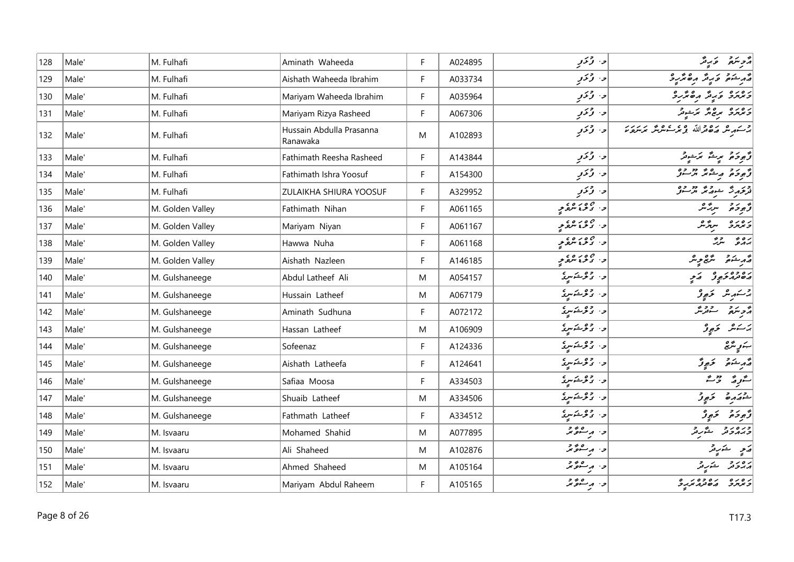| 128 | Male' | M. Fulhafi       | Aminath Waheeda                      | F  | A024895 | وستحري ويحتجب                      | أترج مترقد وسيقر                                                      |
|-----|-------|------------------|--------------------------------------|----|---------|------------------------------------|-----------------------------------------------------------------------|
| 129 | Male' | M. Fulhafi       | Aishath Waheeda Ibrahim              | F  | A033734 | وستحقي                             | و د شو و د د ره و د د                                                 |
| 130 | Male' | M. Fulhafi       | Mariyam Waheeda Ibrahim              | F  | A035964 | وسمح تحوي                          | وبرود وبرتر مره تررد                                                  |
| 131 | Male' | M. Fulhafi       | Mariyam Rizya Rasheed                | F. | A067306 | وسمح تحكي                          | و وره مرج گر مرشوند                                                   |
| 132 | Male' | M. Fulhafi       | Hussain Abdulla Prasanna<br>Ranawaka | M  | A102893 | وسمح تمكي                          | و محمد من الله و عن و و مدرس                                          |
| 133 | Male' | M. Fulhafi       | Fathimath Reesha Rasheed             | F  | A143844 | و- وحمقون                          | ژَّەدَە پِيْ يَرْشِيْرَ                                               |
| 134 | Male' | M. Fulhafi       | Fathimath Ishra Yoosuf               | F  | A154300 | وسمح تحوي                          | و دو مشتر مصروفان<br>د کاره مستر مستو                                 |
| 135 | Male' | M. Fulhafi       | <b>ZULAIKHA SHIURA YOOSUF</b>        | F  | A329952 | وسمى تورى                          | ور در شور بو ده وه<br>نرمرگ شور بگر مرسو                              |
| 136 | Male' | M. Golden Valley | Fathimath Nihan                      | F  | A061165 |                                    | أوالمحتجم المسترامل                                                   |
| 137 | Male' | M. Golden Valley | Mariyam Niyan                        | F  | A061167 | - موج وي موجو<br>حسن موجود موجو    | د ۱۵ د کار مرکز میں                                                   |
| 138 | Male' | M. Golden Valley | Hawwa Nuha                           | F  | A061168 | د ، د ده ده ده د                   | رہ پہ دی                                                              |
| 139 | Male' | M. Golden Valley | Aishath Nazleen                      | F  | A146185 | - موجود وي موجو                    | و ديده من ده.<br>مدينوه من ديگر                                       |
| 140 | Male' | M. Gulshaneege   | Abdul Latheef Ali                    | M  | A054157 | -<br> - د کمون کمی مورد است.<br> - | ן סכם קם קי<br>גם הקבבת ק<br>ەتىر                                     |
| 141 | Male' | M. Gulshaneege   | Hussain Latheef                      | M  | A067179 | والمحوه شكيرة                      | 2سەر ھەر ئۇچۇ                                                         |
| 142 | Male' | M. Gulshaneege   | Aminath Sudhuna                      | F  | A072172 | ە ، ئۇق ئەسرىگ                     | ۇ ئەسكە ئەسىر                                                         |
| 143 | Male' | M. Gulshaneege   | Hassan Latheef                       | M  | A106909 | ە ، ئۇقسىمبىگە                     | پرستاند کریږو ژ                                                       |
| 144 | Male' | M. Gulshaneege   | Sofeenaz                             | F  | A124336 | ە ، ئۇق ئەسرىگە                    | بنورٍ محمده                                                           |
| 145 | Male' | M. Gulshaneege   | Aishath Latheefa                     | F  | A124641 | و٠ ۇگۈشكەپپۇ                       | ة مشعور من المجمورة<br>أمام شعور من من المجمورة<br>مستوية من المجموعة |
| 146 | Male' | M. Gulshaneege   | Safiaa Moosa                         | F  | A334503 | ە ، ئۇق شەئىرىگە                   |                                                                       |
| 147 | Male' | M. Gulshaneege   | Shuaib Latheef                       | M  | A334506 | و٠ وگوڅوسري                        | أشهده كرجوز                                                           |
| 148 | Male' | M. Gulshaneege   | Fathmath Latheef                     | F. | A334512 | والممح فحوظته للرمح                | وَجِعِدَهُ خَيْرٍوْ                                                   |
| 149 | Male' | M. Isvaaru       | Mohamed Shahid                       | M  | A077895 | و۰ مرشوقهر                         | و ره ر و<br><i>و پر پر</i> تر<br>ستەرىر                               |
| 150 | Male' | M. Isvaaru       | Ali Shaheed                          | M  | A102876 | و٠ در سوء تر                       | أرشح المستشرية                                                        |
| 151 | Male' | M. Isvaaru       | Ahmed Shaheed                        | M  | A105164 | د <sub>ب</sub> ر مشور              | رەرە ئىرىر                                                            |
| 152 | Male' | M. Isvaaru       | Mariyam Abdul Raheem                 | F  | A105165 | د . م <i>ې</i> شوگمر               | ב מתכנים מסינים מ                                                     |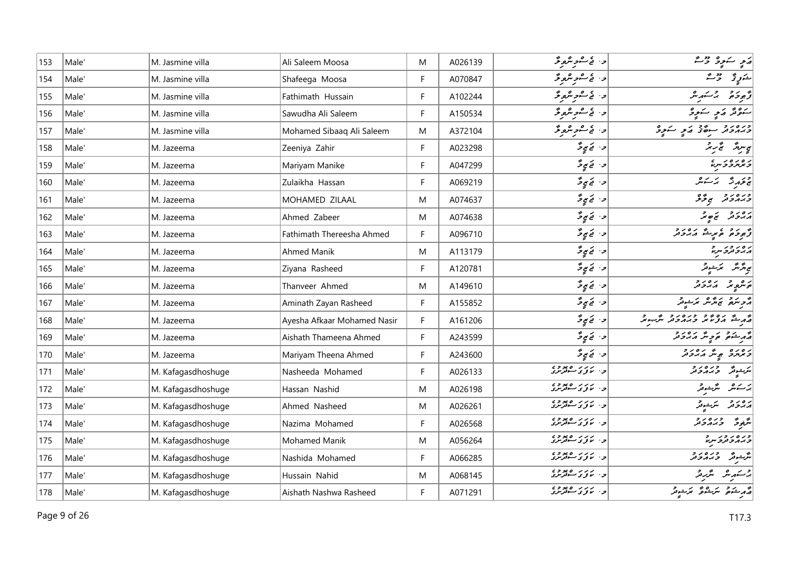| 153 | Male' | M. Jasmine villa   | Ali Saleem Moosa            | ${\sf M}$ | A026139 | <sub>و</sub> . ئ <sub>ے</sub> مشروعہ محر                                                               | ړې خوږ د مخ                                   |
|-----|-------|--------------------|-----------------------------|-----------|---------|--------------------------------------------------------------------------------------------------------|-----------------------------------------------|
| 154 | Male' | M. Jasmine villa   | Shafeega Moosa              | F         | A070847 | و· في سكو بثره و تحر                                                                                   | شَرِیْنَ حَرْبٌ                               |
| 155 | Male' | M. Jasmine villa   | Fathimath Hussain           | F         | A102244 | <br> و <sub>' فع</sub> شور مر <sub>و</sub> مً                                                          | ومدد ومنهر                                    |
| 156 | Male' | M. Jasmine villa   | Sawudha Ali Saleem          | F         | A150534 | و· غى سىھ بىر مىرىمىگە                                                                                 | شوتر ړی سوچ                                   |
| 157 | Male' | M. Jasmine villa   | Mohamed Sibaaq Ali Saleem   | ${\sf M}$ | A372104 | در انچ سفر شروع <mark> د</mark>                                                                        | כנסני כני המיד התפ                            |
| 158 | Male' | M. Jazeema         | Zeeniya Zahir               | F         | A023298 | و· في مح ح                                                                                             | ا <sub>ئ</sub> ې سرنگ تج سرنگ                 |
| 159 | Male' | M. Jazeema         | Mariyam Manike              | F         | A047299 | و· في محٍ حُرٌ                                                                                         | ر ەرەر يې                                     |
| 160 | Male' | M. Jazeema         | Zulaikha Hassan             | F         | A069219 | و· في محٍ حُرٌ                                                                                         | ج تحدث   بر سکاهر                             |
| 161 | Male' | M. Jazeema         | MOHAMED ZILAAL              | M         | A074637 | و· في مح و                                                                                             | دره د د پرځو                                  |
| 162 | Male' | M. Jazeema         | Ahmed Zabeer                | M         | A074638 | و· في مح و                                                                                             | رور و می د                                    |
| 163 | Male' | M. Jazeema         | Fathimath Thereesha Ahmed   | F         | A096710 | و· ق <sub>ع</sub> َ يٍّو                                                                               | قوده ويرت مهدد                                |
| 164 | Male' | M. Jazeema         | <b>Ahmed Manik</b>          | ${\sf M}$ | A113179 | و· في مح ح                                                                                             | رە رور<br>مەدىرى سرىد                         |
| 165 | Male' | M. Jazeema         | Ziyana Rasheed              | F         | A120781 | و· في پي چگ                                                                                            | ى پىرىش ئىرىشونى <i>ر</i>                     |
| 166 | Male' | M. Jazeema         | Thanveer Ahmed              | ${\sf M}$ | A149610 | و· ق <sub>و</sub> يح <sup>و</sup>                                                                      | أوشهو مداور والمحمد                           |
| 167 | Male' | M. Jazeema         | Aminath Zayan Rasheed       | F         | A155852 | و· في مح وَّ                                                                                           | أأدوسهم بمارهم بمرشوش                         |
| 168 | Male' | M. Jazeema         | Ayesha Afkaar Mohamed Nasir | F         | A161206 | $\left  \begin{array}{cc} \mathcal{L} & \mathcal{L} \ & \mathcal{L} & \mathcal{L} \end{array} \right $ | ه در ۱۵۷۶ وره دو مرد د                        |
| 169 | Male' | M. Jazeema         | Aishath Thameena Ahmed      | F         | A243599 | $\left  \begin{array}{cc} \mathcal{L}_{\mathbf{z}} & \mathcal{L}_{\mathbf{z}} \end{array} \right $     | م مشور و د مره د د                            |
| 170 | Male' | M. Jazeema         | Mariyam Theena Ahmed        | F         | A243600 | و٤ نج پمونځ                                                                                            | ره ره په پره ده.                              |
| 171 | Male' | M. Kafagasdhoshuge | Nasheeda Mohamed            | F         | A026133 | و به کوی سود و د<br>و به کوی سوتوری                                                                    | سَرَسْوِمَّر حِ بِرَ مَرْ حَرْ                |
| 172 | Male' | M. Kafagasdhoshuge | Hassan Nashid               | ${\sf M}$ | A026198 | و به اندازه بروه<br>و اندازی سه ترس                                                                    | يُرسك مَنْ مُشْعِقْر                          |
| 173 | Male' | M. Kafagasdhoshuge | Ahmed Nasheed               | M         | A026261 | و به کوی سه توره<br>و به کوی سه توروی                                                                  | ره رو سر شور<br>امروند سرشوند                 |
| 174 | Male' | M. Kafagasdhoshuge | Nazima Mohamed              | F         | A026568 | و ۱ کوکار ۱۶۵۵<br>و کوکار کوکرمری                                                                      | شَجِرَة حِمْدَ حَرَّمَ                        |
| 175 | Male' | M. Kafagasdhoshuge | Mohamed Manik               | M         | A056264 | و به این کار و ده و د<br>و به این کار ک                                                                | כנים ניכן<br>כגונפינקטינט                     |
| 176 | Male' | M. Kafagasdhoshuge | Nashida Mohamed             | F         | A066285 | و به این کار و ده و د<br>و به این کار ک                                                                | أش ورەرو                                      |
| 177 | Male' | M. Kafagasdhoshuge | Hussain Nahid               | M         | A068145 |                                                                                                        | برستهریش انگریز                               |
| 178 | Male' | M. Kafagasdhoshuge | Aishath Nashwa Rasheed      | F         | A071291 | ر بربر ه پوده<br>و بر کوکی سوتوبرد                                                                     | أقهر بشكافه المتوافير المتحر والمتحر والمراجع |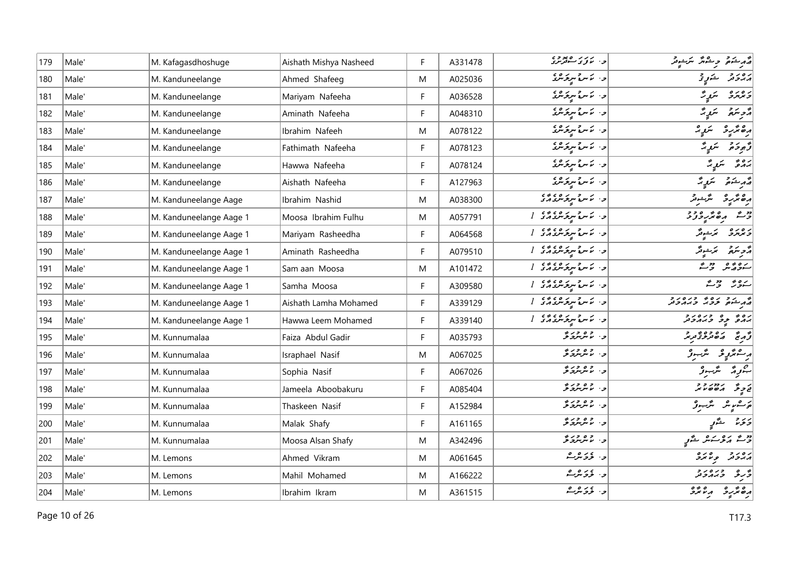| 179 | Male' | M. Kafagasdhoshuge      | Aishath Mishya Nasheed | F  | A331478 | و<br>و تو ی سوتوری                                 | أقهر شدة ومشرقه الكرشوقر              |
|-----|-------|-------------------------|------------------------|----|---------|----------------------------------------------------|---------------------------------------|
| 180 | Male' | M. Kanduneelange        | Ahmed Shafeeg          | M  | A025036 | د· ئەسۇسىرىخىتىك                                   | پره پر په شکو پر چ                    |
| 181 | Male' | M. Kanduneelange        | Mariyam Nafeeha        | F  | A036528 | وسنوسية سربر هويج                                  | ئەنگەر ئ<br>سَمَدٍ رَّ                |
| 182 | Male' | M. Kanduneelange        | Aminath Nafeeha        | F. | A048310 | د . ئاسۇمبرىز ھرى                                  | لأحب يموه<br>سَوِيرٌ                  |
| 183 | Male' | M. Kanduneelange        | Ibrahim Nafeeh         | M  | A078122 | <sub>ح</sub> .     مَا سرق <sup>2</sup> سريحەملىكە | ە ھەترىرى<br>س<br>سَموِيْر            |
| 184 | Male' | M. Kanduneelange        | Fathimath Nafeeha      | F  | A078123 | و· ئۈس <sup>ى</sup> سى سىرىتىرى                    | و مرد<br>اگرېږ خا<br>سَمَعٍ بَرَّ     |
| 185 | Male' | M. Kanduneelange        | Hawwa Nafeeha          | F  | A078124 | و· <b>ب</b> رَسو مروسو و ع                         | رە بە<br>برابرى<br>سَمَدٍیَّہُ        |
| 186 | Male' | M. Kanduneelange        | Aishath Nafeeha        | F  | A127963 | د · سَاسْوَ سِرِ حَرْسَدَ                          | أقهر مشكوم التستعي تجر                |
| 187 | Male' | M. Kanduneelange Aage   | Ibrahim Nashid         | M  | A038300 | و . ئەس ئېرى <i>ۋىلى</i> دارى                      | أرەنۇر ئەس ئۇ                         |
| 188 | Male' | M. Kanduneelange Aage 1 | Moosa Ibrahim Fulhu    | M  | A057791 | <mark>. ئاسۇسىغە ئىگە ئۇ</mark> 1                  | دو هه ده ند و دو                      |
| 189 | Male' | M. Kanduneelange Aage 1 | Mariyam Rasheedha      | F. | A064568 | و . ئۈس <sup>ى</sup> سىدىقىدى 1                    | رەرە يرجو                             |
| 190 | Male' | M. Kanduneelange Aage 1 | Aminath Rasheedha      | F  | A079510 | و ، ئاس سر مره و د و د 1                           | أأترح متركز التمر شوقد                |
| 191 | Male' | M. Kanduneelange Aage 1 | Sam aan Moosa          | M  | A101472 | و ، ئاس سرورە ، دە ، 1                             | يەدە ئەر                              |
| 192 | Male' | M. Kanduneelange Aage 1 | Samha Moosa            | F  | A309580 | و ، ئاسۇسىۋىتىدە ئى                                | سەۋرى تۇسىم                           |
| 193 | Male' | M. Kanduneelange Aage 1 | Aishath Lamha Mohamed  | F  | A339129 | و . ئۈس <sup>ى</sup> سىدىقىدى 1                    | و مشروع و و در و د                    |
| 194 | Male' | M. Kanduneelange Aage 1 | Hawwa Leem Mohamed     | F  | A339140 | د ، ئاسۇسىغە ئىككە ئى                              | رە ئە ئەدەر د                         |
| 195 | Male' | M. Kunnumalaa           | Faiza Abdul Gadir      | F  | A035793 | و. ئەشرىترىگە                                      | قرمريج ما ما معرفتم مريم              |
| 196 | Male' | M. Kunnumalaa           | Israphael Nasif        | M  | A067025 | و. ئەشرىرىگە                                       | أراعى يتورقه الترسور                  |
| 197 | Male' | M. Kunnumalaa           | Sophia Nasif           | F  | A067026 | د. ئەشرىرىگە                                       | جوړه مرهبور                           |
| 198 | Male' | M. Kunnumalaa           | Jameela Aboobakuru     | F  | A085404 | د. ئەشرىترىگە                                      |                                       |
| 199 | Male' | M. Kunnumalaa           | Thaskeen Nasif         | F  | A152984 | د. ئەشرىرىگە                                       | ىر قىرىدىش ئىرگەر<br>مۇسىرىدىشى ئىسىر |
| 200 | Male' | M. Kunnumalaa           | Malak Shafy            | F  | A161165 | و. ئەشرىرىگە                                       | دَ دَرُ شَمَرٍ                        |
| 201 | Male' | M. Kunnumalaa           | Moosa Alsan Shafy      | M  | A342496 | د . ، ، مارسر <del>د</del> گر                      |                                       |
| 202 | Male' | M. Lemons               | Ahmed Vikram           | M  | A061645 | د . کوترشو                                         | أرمده وبالمرد                         |
| 203 | Male' | M. Lemons               | Mahil Mohamed          | M  | A166222 | د . ۇرگىرى                                         | و دره دره                             |
| 204 | Male' | M. Lemons               | Ibrahim Ikram          | M  | A361515 | د . ئۇزىرگ                                         | أرە ئۆر ئەرەپرو                       |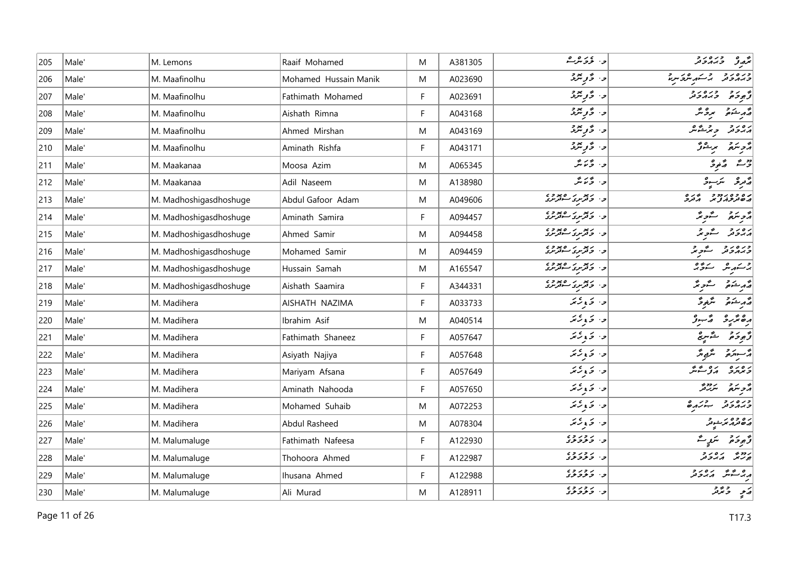| 205 | Male' | M. Lemons              | Raaif Mohamed         | M           | A381305 | د . ٷز ۵ ۵ م                                                                                                                                                                                                                    | أتمرو وره دو                                                                                                  |
|-----|-------|------------------------|-----------------------|-------------|---------|---------------------------------------------------------------------------------------------------------------------------------------------------------------------------------------------------------------------------------|---------------------------------------------------------------------------------------------------------------|
| 206 | Male' | M. Maafinolhu          | Mohamed Hussain Manik | M           | A023690 | د· دُّرِ يَرْزُ                                                                                                                                                                                                                 | כמחכנה הבית ייתר ייתו                                                                                         |
| 207 | Male' | M. Maafinolhu          | Fathimath Mohamed     | $\mathsf F$ | A023691 | د· دَّرِ يَرْزُ                                                                                                                                                                                                                 | و ر ه ر د<br>تر پر تر تر<br>ۇ بوز ئ                                                                           |
| 208 | Male' | M. Maafinolhu          | Aishath Rimna         | F           | A043168 | د. د څو پیړۍ                                                                                                                                                                                                                    | وأرجنتم بردش                                                                                                  |
| 209 | Male' | M. Maafinolhu          | Ahmed Mirshan         | M           | A043169 | د· د گرېنند                                                                                                                                                                                                                     | رەرد دىرىشەر<br>مەردىر دىرىشەر                                                                                |
| 210 | Male' | M. Maafinolhu          | Aminath Rishfa        | $\mathsf F$ | A043171 | <sub>و</sub> . د گویترژ                                                                                                                                                                                                         | أأوسكم الرحوان                                                                                                |
| 211 | Male' | M. Maakanaa            | Moosa Azim            | M           | A065345 | د به عمر مگر                                                                                                                                                                                                                    | ور محمد و محمد و ا                                                                                            |
| 212 | Male' | M. Maakanaa            | Adil Naseem           | M           | A138980 | ە بە ئەتكەنگە                                                                                                                                                                                                                   | ەڭرىۋە سەسبوۋ                                                                                                 |
| 213 | Male' | M. Madhoshigasdhoshuge | Abdul Gafoor Adam     | M           | A049606 | و به مربوع سود و د و د با<br>د به او تعرض سوتعرض                                                                                                                                                                                | ر ٥ ۶ ٥ ٥ ۶ و ۶<br>۵ ت تر پر تر مر<br>ە تەترى                                                                 |
| 214 | Male' | M. Madhoshigasdhoshuge | Aminath Samira        | F           | A094457 | و به نوع در مورد و در در بازد که بازد که بازد که بازد که بازد که بازد که بازد که بازد که بازد که بازد که بازد<br>مردم که بازد که بازد که بازد که بازد که بازد که بازد که بازد که بازد که بازد که بازد که بازد که بازد که بازد ک | ړ د سره شو پر                                                                                                 |
| 215 | Male' | M. Madhoshigasdhoshuge | Ahmed Samir           | M           | A094458 | ه ۱۰ نوکترمر <sub>ی</sub> کشور در ۲۰<br>۱۰ نوکترمر <sub>ی</sub> کشور مرد                                                                                                                                                        | رەرد شەر                                                                                                      |
| 216 | Male' | M. Madhoshigasdhoshuge | Mohamed Samir         | M           | A094459 | ه به هم در ۲۵ وه و د کار د کار د کار د کار د کار د کار د کار د کار د کار د کار د کار د کار د کار د کار د کار د<br>افزار د کار کار کار کار د کار د کار د کار د کار د کار د کار د کار د کار د کار د کار د کار د کار د کار د کار د | و رە ر د<br><i>د بە</i> پەر<br>ستگھ تر                                                                        |
| 217 | Male' | M. Madhoshigasdhoshuge | Hussain Samah         | M           | A165547 | و به نوموړي سووړي<br>و به نوکوړي سونورنوري                                                                                                                                                                                      | ج سکه شده سکوچر                                                                                               |
| 218 | Male' | M. Madhoshigasdhoshuge | Aishath Saamira       | $\mathsf F$ | A344331 | و به نیمونه عبد و ه<br>و به نیمونهای مقدم                                                                                                                                                                                       |                                                                                                               |
| 219 | Male' | M. Madihera            | AISHATH NAZIMA        | F           | A033733 | د <sub>ا</sub> ک <sub>رو</sub> کريمه                                                                                                                                                                                            | وكرمشكم المتكفي                                                                                               |
| 220 | Male' | M. Madihera            | Ibrahim Asif          | M           | A040514 | <sub>حزا</sub> ځانو ش <sup>ې</sup> ټه                                                                                                                                                                                           | وە ئۆر ئەسر                                                                                                   |
| 221 | Male' | M. Madihera            | Fathimath Shaneez     | F           | A057647 | <mark>ىن ئۇيۇ</mark> ئىكە                                                                                                                                                                                                       | ۇ بوخ <sup>ى</sup><br>ڪُ س <sub>ر</sub> چ                                                                     |
| 222 | Male' | M. Madihera            | Asiyath Najiya        | F           | A057648 | د <sub>ا</sub> ک <sub>ی</sub> دیگر                                                                                                                                                                                              | و سەدىرە<br>م                                                                                                 |
| 223 | Male' | M. Madihera            | Mariyam Afsana        | F           | A057649 | د· <sub>خ</sub> ورځه                                                                                                                                                                                                            | ېر دې مشتر<br>ر ه ر ه<br><del>د</del> بربرگر                                                                  |
| 224 | Male' | M. Madihera            | Aminath Nahooda       | $\mathsf F$ | A057650 | د <sub>ا</sub> لا دیگر                                                                                                                                                                                                          | و سره سردور<br><i>د څ</i> رمنۍ سربر تر                                                                        |
| 225 | Male' | M. Madihera            | Mohamed Suhaib        | M           | A072253 | د· <sub>خ</sub> ورځه                                                                                                                                                                                                            | ورەرو ورە                                                                                                     |
| 226 | Male' | M. Madihera            | Abdul Rasheed         | M           | A078304 | د <sub>ا</sub> ک <sub>رو</sub> کريمه                                                                                                                                                                                            | ر ە دە ر<br>ھەمەمەر تەش <sub>ە</sub> مە                                                                       |
| 227 | Male' | M. Malumaluge          | Fathimath Nafeesa     | F           | A122930 | ر د دره<br>د گوگور                                                                                                                                                                                                              | أرموخاه التنريب                                                                                               |
| 228 | Male' | M. Malumaluge          | Thohoora Ahmed        | F           | A122987 | ر د دره د<br>د ۱ گرگرد                                                                                                                                                                                                          | برود بره برو                                                                                                  |
| 229 | Male' | M. Malumaluge          | Ihusana Ahmed         | F           | A122988 | ر د دره د و و<br>د ۱ گرمونوک                                                                                                                                                                                                    | مری کے مقرر مرکز کر دیا جاتی کر دیکھی اور برگ کر دیکھی اور ایک کار کر دیکھی اور ایک کام کر دیا جاتی ہے۔ اس کا |
| 230 | Male' | M. Malumaluge          | Ali Murad             | M           | A128911 | د . د ود و ،<br>د . و نوونو د                                                                                                                                                                                                   | أەسمي ويوم                                                                                                    |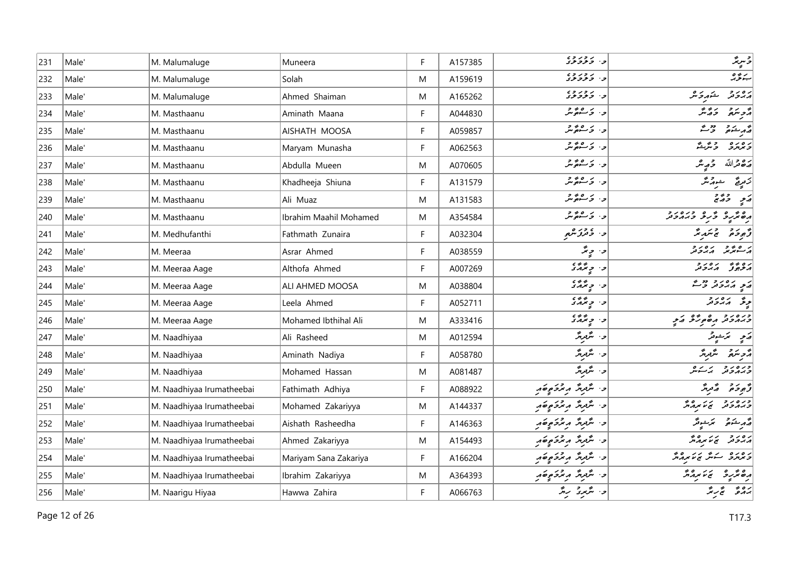| 231 | Male' | M. Malumaluge             | Muneera                | F         | A157385 | و . کوتونوی<br>و . کوتونوی         | ۇ بىرىگە<br>ئ                                                       |
|-----|-------|---------------------------|------------------------|-----------|---------|------------------------------------|---------------------------------------------------------------------|
| 232 | Male' | M. Malumaluge             | Solah                  | ${\sf M}$ | A159619 | و . کوترو <i>ی</i><br>و . کوترو تر | ىبە ئۇر                                                             |
| 233 | Male' | M. Malumaluge             | Ahmed Shaiman          | M         | A165262 | د . د ودوه<br>د . و ووود           | پرور و<br>ے <sub>مر</sub> ځ نگر                                     |
| 234 | Male' | M. Masthaanu              | Aminath Maana          | F         | A044830 | چې ځې شو تمو تنگر                  | ړ ځېږ په                                                            |
| 235 | Male' | M. Masthaanu              | AISHATH MOOSA          | F         | A059857 | و، ئەسىھەتر                        | ديو مشر<br>و گرېنو کو                                               |
| 236 | Male' | M. Masthaanu              | Maryam Munasha         | F         | A062563 | د ، ئەسەھەتر                       | ر ه ر ه<br>د بربر د<br>تر مگرشگ                                     |
| 237 | Male' | M. Masthaanu              | Abdulla Mueen          | ${\sf M}$ | A070605 | و، ئۇسۇمىر                         | پره قرالله څرمړينگ                                                  |
| 238 | Male' | M. Masthaanu              | Khadheeja Shiuna       | F         | A131579 | و، ئەسەھمىر                        | ھور تىر<br>_<br>کر تعریج<br> <br>                                   |
| 239 | Male' | M. Masthaanu              | Ali Muaz               | M         | A131583 | ى ئەھەمىر<br>مەن ئەسىر             | $\begin{bmatrix} 2 & 4 & 3 \\ 6 & 4 & 3 \\ 6 & 3 & 2 \end{bmatrix}$ |
| 240 | Male' | M. Masthaanu              | Ibrahim Maahil Mohamed | M         | A354584 | ى ئەھمەتىر                         | גם ג'ק ב בקב בגבבת                                                  |
| 241 | Male' | M. Medhufanthi            | Fathmath Zunaira       | F         | A032304 | و ، و و د شهو                      | توجوختم تمسمه تتر                                                   |
| 242 | Male' | M. Meeraa                 | Asrar Ahmed            | F         | A038559 | و· جٍ پُرُ                         | ر ۲۵۰۰ در در در د                                                   |
| 243 | Male' | M. Meeraa Aage            | Althofa Ahmed          | F         | A007269 | اد . د پژوئ                        | رەپ رەرد<br>مەخبۇق مەردىر                                           |
| 244 | Male' | M. Meeraa Aage            | ALI AHMED MOOSA        | M         | A038804 | و٠ و پژوي<br>و٠ و پژوي             | ړي پر ده د ده د                                                     |
| 245 | Male' | M. Meeraa Aage            | Leela Ahmed            | F         | A052711 | اه . چه پېړۍ<br>_                  | يوقى   مەركەر                                                       |
| 246 | Male' | M. Meeraa Aage            | Mohamed Ibthihal Ali   | ${\sf M}$ | A333416 | و٠ و پرو ،<br>و٠ و پرو ،           |                                                                     |
| 247 | Male' | M. Naadhiyaa              | Ali Rasheed            | M         | A012594 | ر . س <i>گیروگ</i>                 | أركمني أترك وكر                                                     |
| 248 | Male' | M. Naadhiyaa              | Aminath Nadiya         | F         | A058780 | د. سَّرْمَرشَّ                     | ۇ ئىسى ئىسىدۇ                                                       |
| 249 | Male' | M. Naadhiyaa              | Mohamed Hassan         | ${\sf M}$ | A081487 | د. سٌرترمرٌ                        | ورەرو برىكە                                                         |
| 250 | Male' | M. Naadhiyaa Irumatheebai | Fathimath Adhiya       | F         | A088922 | و سرمرمر متردومه                   | توجو المحمد المعتبر                                                 |
| 251 | Male' | M. Naadhiyaa Irumatheebai | Mohamed Zakariyya      | ${\sf M}$ | A144337 | و سره د بروکوه د                   | כנסנכ נגפי                                                          |
| 252 | Male' | M. Naadhiyaa Irumatheebai | Aishath Rasheedha      | F         | A146363 | و سرهرمز مرتزکوه د                 | مەر ئىكى ئىم ئىسى ئىگە                                              |
| 253 | Male' | M. Naadhiyaa Irumatheebai | Ahmed Zakariyya        | M         | A154493 | و شرمه مترکوفه                     | גפני היאת פי                                                        |
| 254 | Male' | M. Naadhiyaa Irumatheebai | Mariyam Sana Zakariya  | F         | A166204 | و شرمه مرکزه و هم                  | גם גם גם גגם ה                                                      |
| 255 | Male' | M. Naadhiyaa Irumatheebai | Ibrahim Zakariyya      | M         | A364393 | כי יתונות והות בסו                 | גלילי ביותר                                                         |
| 256 | Male' | M. Naarigu Hiyaa          | Hawwa Zahira           | F         | A066763 | د. مگریز رنگر                      | رەپ پەرى                                                            |
|     |       |                           |                        |           |         |                                    |                                                                     |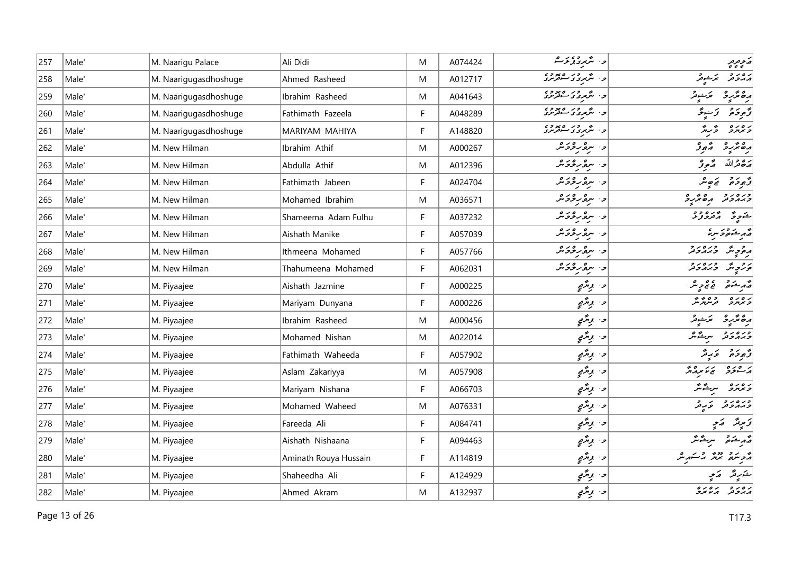| 257 | Male' | M. Naarigu Palace     | Ali Didi              | M         | A074424 | د <sub>: م</sub> گرېږد کوک                   | ک و دردر<br><u>شعرت</u>                                      |
|-----|-------|-----------------------|-----------------------|-----------|---------|----------------------------------------------|--------------------------------------------------------------|
| 258 | Male' | M. Naarigugasdhoshuge | Ahmed Rasheed         | M         | A012717 |                                              | بر ه بر و<br>م <i>ر</i> بر <del>و</del> ر<br>ىمەسىيەتىر<br>ئ |
| 259 | Male' | M. Naarigugasdhoshuge | Ibrahim Rasheed       | M         | A041643 | و . سرگری نوع و و ه<br>و . سرگری کرد اسلومری | ەرھەترىر <sup>ى</sup><br>ىرىشەتر                             |
| 260 | Male' | M. Naarigugasdhoshuge | Fathimath Fazeela     | F         | A048289 | و . سرگری دی و و د<br>و . سرگری کا افزاری    | ۇ پ <sub>ە</sub> ر د<br>ترسىدى<br>ئە                         |
| 261 | Male' | M. Naarigugasdhoshuge | MARIYAM MAHIYA        | F         | A148820 | و . مگروکو گروه پوده<br>سرگروکو گروهرو       | ر ه ر ه<br><del>ر</del> بربر د<br>وٌ ر پڙ                    |
| 262 | Male' | M. New Hilman         | Ibrahim Athif         | M         | A000267 | ە بىر <i>قۇر ۋۇ ئ</i> ر                      | رژوژ<br>ېر ھې تر په د                                        |
| 263 | Male' | M. New Hilman         | Abdulla Athif         | M         | A012396 | ە <sub>ب</sub> ىر ئۇرگۇچىگە                  | صصرالله<br>وتهجو فر                                          |
| 264 | Male' | M. New Hilman         | Fathimath Jabeen      | F         | A024704 | د· سره برڅخ ش                                | توجدة فيصر                                                   |
| 265 | Male' | M. New Hilman         | Mohamed Ibrahim       | M         | A036571 | ر. س <sub>ر</sub> و <i>رود ن</i> گر          | و ر ه ر د<br>تر پر ژ تر<br>برە ئۆرۈ                          |
| 266 | Male' | M. New Hilman         | Shameema Adam Fulhu   | F         | A037232 | د· سره <i>ر</i> ود شر                        | شَرْحٍ حُ<br>په ره و د<br>پر تر تر تر                        |
| 267 | Male' | M. New Hilman         | Aishath Manike        | F         | A057039 | د· سره <i>ر</i> ود کر                        | ا محمد مشهور سر محمد<br>المحمد مشهور حس                      |
| 268 | Male' | M. New Hilman         | Ithmeena Mohamed      | F         | A057766 | ە <sub>ب</sub> ىر ئۇرگۇچىگە                  | و ره ر و<br><i>و پر</i> و تر<br>اړه د متر<br>م               |
| 269 | Male' | M. New Hilman         | Thahumeena Mohamed    | F         | A062031 | د . سره برود تر                              | ر و پر وره ر و<br>مورچ پر وبرمرحمد                           |
| 270 | Male' | M. Piyaajee           | Aishath Jazmine       | F         | A000225 | و· برگرمج                                    | وأرشكم فالمحافي                                              |
| 271 | Male' | M. Piyaajee           | Mariyam Dunyana       | F         | A000226 | و· بورگيمج                                   | ر ه بر ه<br><del>د</del> بربرگ<br>ترسر پژمئر                 |
| 272 | Male' | M. Piyaajee           | Ibrahim Rasheed       | ${\sf M}$ | A000456 | د . بر گړې                                   | ىر ھەتتەر 2<br>ر<br>بحرشدقر                                  |
| 273 | Male' | M. Piyaajee           | Mohamed Nishan        | M         | A022014 | د . بر گړې                                   | و رە ر د<br><i>د بە</i> پەر<br>سرڪرشر                        |
| 274 | Male' | M. Piyaajee           | Fathimath Waheeda     | F         | A057902 | د· برېژم <sub>ي</sub>                        | تزود وأرقر                                                   |
| 275 | Male' | M. Piyaajee           | Aslam Zakariyya       | M         | A057908 | و· بورگيمج                                   | ב מ' מחיר.<br>ביט מחירת<br>ىر 2 بىرە<br>مەسىرى               |
| 276 | Male' | M. Piyaajee           | Mariyam Nishana       | F.        | A066703 | د . بر گړې                                   | سرىشەتتر<br>ر ہ ر ہ<br><del>ر</del> بربر ژ                   |
| 277 | Male' | M. Piyaajee           | Mohamed Waheed        | M         | A076331 | و٠ بورگيم                                    | ورەرو كەيتر                                                  |
| 278 | Male' | M. Piyaajee           | Fareeda Ali           | F         | A084741 | د . وِرُّمِي                                 | تزيرنڈ ارکام کے                                              |
| 279 | Male' | M. Piyaajee           | Aishath Nishaana      | F         | A094463 | و· برېژم <sub>ي</sub>                        | قدم المستوفير                                                |
| 280 | Male' | M. Piyaajee           | Aminath Rouya Hussain | F         | A114819 | و·   بر پر گھر<br>م                          | י הוב חדש באת ה                                              |
| 281 | Male' | M. Piyaajee           | Shaheedha Ali         | F.        | A124929 | د . بر گرمي                                  | ے کے مرکز                                                    |
| 282 | Male' | M. Piyaajee           | Ahmed Akram           | ${\sf M}$ | A132937 | د . بورگيمچ                                  | גם גם גם גם<br>הגבע העינב                                    |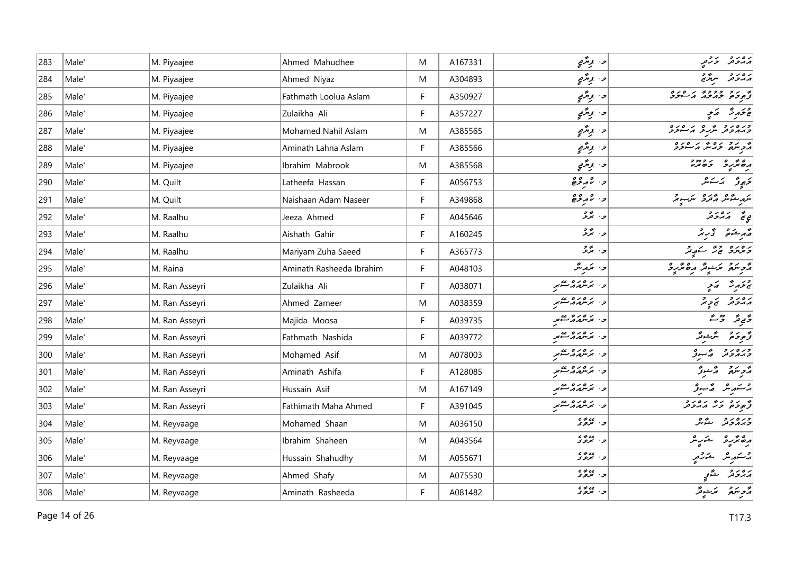| 283 | Male' | M. Piyaajee    | Ahmed Mahudhee           | M           | A167331 | د . بر پڙھي                        | پرویز کرویر                                   |
|-----|-------|----------------|--------------------------|-------------|---------|------------------------------------|-----------------------------------------------|
| 284 | Male' | M. Piyaajee    | Ahmed Niyaz              | M           | A304893 | د· بر گرم <sub>ی</sub>             | أرور و سرگرمج                                 |
| 285 | Male' | M. Piyaajee    | Fathmath Loolua Aslam    | $\mathsf F$ | A350927 | و· بورگو                           | و د د ددد د دره                               |
| 286 | Male' | M. Piyaajee    | Zulaikha Ali             | F           | A357227 | و· برېژمچ                          | بج تحمير تشميخ أوراني                         |
| 287 | Male' | M. Piyaajee    | Mohamed Nahil Aslam      | M           | A385565 | و· بورگو                           | 2012 2013 كەنبەر 2012<br>2012 1914 كەنبەر     |
| 288 | Male' | M. Piyaajee    | Aminath Lahna Aslam      | $\mathsf F$ | A385566 | و٠ بورگيم                          | أأوسي وبره أكراه وره                          |
| 289 | Male' | M. Piyaajee    | Ibrahim Mabrook          | M           | A385568 | د . بر گړې                         | ת פיציב בסמי                                  |
| 290 | Male' | M. Quilt       | Latheefa Hassan          | $\mathsf F$ | A056753 | 29.2.5                             | خبوٍوَّ - يَا سَاسْ                           |
| 291 | Male' | M. Quilt       | Naishaan Adam Naseer     | F           | A349868 | د ، ماړونع                         | شرىئىس ئەرە شەر                               |
| 292 | Male' | M. Raalhu      | Jeeza Ahmed              | $\mathsf F$ | A045646 | و . موگ                            | مٍ پ <sup>ح</sup> در در د                     |
| 293 | Male' | M. Raalhu      | Aishath Gahir            | F           | A160245 | و . مگرمی                          | و<br>مەسىم ئىسىم                              |
| 294 | Male' | M. Raalhu      | Mariyam Zuha Saeed       | F           | A365773 | و . موگ                            | נים נים נים לקברה.<br>בינו <i>ת ביל</i> לקברה |
| 295 | Male' | M. Raina       | Aminath Rasheeda Ibrahim | F           | A048103 | ە بە ئەرىتر                        | أوسكم للمسوئر وكالمرو                         |
| 296 | Male' | M. Ran Asseyri | Zulaikha Ali             | $\mathsf F$ | A038071 | و . نر ۱۵۷۵ متی بر<br>مرس پر ارداد | بمخدش كميم                                    |
| 297 | Male' | M. Ran Asseyri | Ahmed Zameer             | M           | A038359 | و. برەرە يىم                       |                                               |
| 298 | Male' | M. Ran Asseyri | Majida Moosa             | F           | A039735 | و . نر ۱۵۷۵ متی بر<br>مرس پر ارداد | وَّمِرةٌ وَرَّجَ                              |
| 299 | Male' | M. Ran Asseyri | Fathmath Nashida         | F           | A039772 | -<br>د برگرم کره مشمر              | تؤجر كمحر متكرشونكر                           |
| 300 | Male' | M. Ran Asseyri | Mohamed Asif             | M           | A078003 | وسيمتعدد كصمير                     | ورەرو ھەبدۇ                                   |
| 301 | Male' | M. Ran Asseyri | Aminath Ashifa           | F           | A128085 | وسيمتعدد كصمير                     | أأدوبتكم أأرشوقه                              |
| 302 | Male' | M. Ran Asseyri | Hussain Asif             | M           | A167149 | وسيمتعدد كصمير                     | برسكريش الأسوقر                               |
| 303 | Male' | M. Ran Asseyri | Fathimath Maha Ahmed     | F           | A391045 | وسيمسمه والمعامر                   | 3,0, 3, 3, 3,                                 |
| 304 | Male' | M. Reyvaage    | Mohamed Shaan            | M           | A036150 | ے بے برے<br>ح• محرچو <sub>ک</sub>  | ورەرو شەھ                                     |
| 305 | Male' | M. Reyvaage    | Ibrahim Shaheen          | M           | A043564 | ے میں بوت<br>ح• مجمومی             | رەت <sub>خرىر</sub> ە شەرش                    |
| 306 | Male' | M. Reyvaage    | Hussain Shahudhy         | M           | A055671 | ے میں بوت<br>ح• مجمومی             |                                               |
| 307 | Male' | M. Reyvaage    | Ahmed Shafy              | M           | A075530 | ے میں بوت<br>ح• محرجو <sub>ک</sub> | رەرد شىمى                                     |
| 308 | Male' | M. Reyvaage    | Aminath Rasheeda         | F           | A081482 | ے بے برے<br>ح• محرچو ت             | مركب مرشوقر                                   |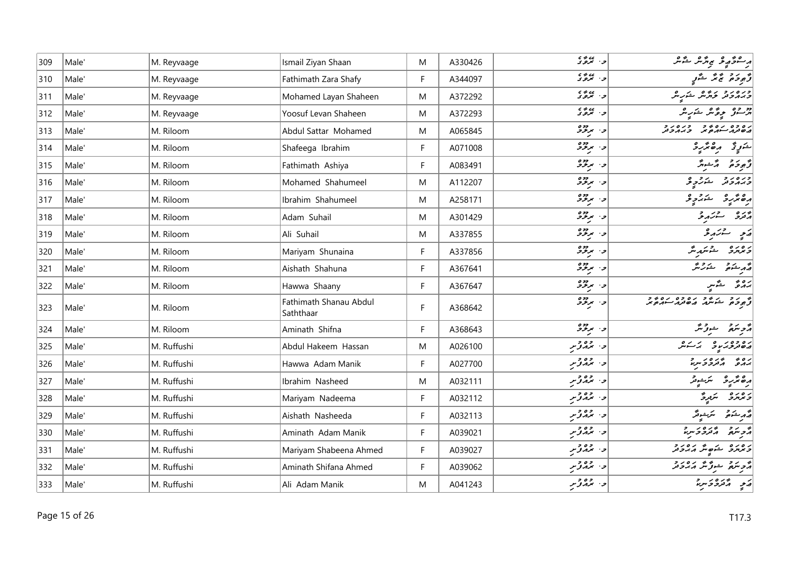| 309 | Male' | M. Reyvaage | Ismail Ziyan Shaan                  | ${\sf M}$ | A330426 | د . ده ه د .<br>و . موړو د          | أر مشتر موفر مع محمد الشريح من المستر السنة السر |
|-----|-------|-------------|-------------------------------------|-----------|---------|-------------------------------------|--------------------------------------------------|
| 310 | Male' | M. Reyvaage | Fathimath Zara Shafy                | F         | A344097 | ے بے برے<br>ح• محرچو ت              | أزوده تأتر لتذري                                 |
| 311 | Male' | M. Reyvaage | Mohamed Layan Shaheen               | ${\sf M}$ | A372292 | ے بے برے<br>ح• محرچو ت              |                                                  |
| 312 | Male' | M. Reyvaage | Yoosuf Levan Shaheen                | M         | A372293 | ے بے برے<br>ح• محرچو ت              | أور وو پر پور ڪرير                               |
| 313 | Male' | M. Riloom   | Abdul Sattar Mohamed                | M         | A065845 | و· مرووه                            | נסכם נסמכ כנסנכ<br>השנה – מתמינ כגהכנג           |
| 314 | Male' | M. Riloom   | Shafeega Ibrahim                    | F         | A071008 | و· مرووه<br>مر                      | شَرَرٍ يَنْ رَهْ يُرْرِدْ                        |
| 315 | Male' | M. Riloom   | Fathimath Ashiya                    | F         | A083491 | و . موفرو<br>و . موفرو              | توجوختم المشوائر                                 |
| 316 | Male' | M. Riloom   | Mohamed Shahumeel                   | M         | A112207 | اه بردو                             | ورەرو شەرقى                                      |
| 317 | Male' | M. Riloom   | Ibrahim Shahumeel                   | ${\sf M}$ | A258171 | و· مروو                             | رەڭرىۋە سەرەپ ئو                                 |
| 318 | Male' | M. Riloom   | Adam Suhail                         | ${\sf M}$ | A301429 | و بروه                              | وره شرکه د                                       |
| 319 | Male' | M. Riloom   | Ali Suhail                          | ${\sf M}$ | A337855 | و . موفرو<br>و . موفرو              | أريمو سنرتهر و                                   |
| 320 | Male' | M. Riloom   | Mariyam Shunaina                    | F         | A337856 | و . موفرو<br>و . موفرو              | رەرە شەئىر                                       |
| 321 | Male' | M. Riloom   | Aishath Shahuna                     | F         | A367641 | و . موفرو<br>و . موفرو              | وكرمشكم الشروع                                   |
| 322 | Male' | M. Riloom   | Hawwa Shaany                        | F         | A367647 | و· مرووه<br>مر                      | پروڅ څونني                                       |
| 323 | Male' | M. Riloom   | Fathimath Shanau Abdul<br>Saththaar | F         | A368642 | وسيروو                              | ه د د د پرو ده ده ده ده<br>ترج ده شرس پره در سرچ |
| 324 | Male' | M. Riloom   | Aminath Shifna                      | F         | A368643 | و· بروو                             | أترجر سترة شورشر                                 |
| 325 | Male' | M. Ruffushi | Abdul Hakeem Hassan                 | M         | A026100 | د . بره د پر                        | رە دەر بەر ئەسكىر                                |
| 326 | Male' | M. Ruffushi | Hawwa Adam Manik                    | F         | A027700 | <sub>و</sub> ، برم <sup>و</sup> رمر | رەپ پرەر                                         |
| 327 | Male' | M. Ruffushi | Ibrahim Nasheed                     | ${\sf M}$ | A032111 | و- بروژبر                           | أرە ئۆر ئەسىسى ئىشىر ئى                          |
| 328 | Male' | M. Ruffushi | Mariyam Nadeema                     | F         | A032112 | د . بره د پر                        | دەرە سەرد                                        |
| 329 | Male' | M. Ruffushi | Aishath Nasheeda                    | F         | A032113 | د . بره د پر                        | أقرم يسكوهم المسترسكر                            |
| 330 | Male' | M. Ruffushi | Aminath Adam Manik                  | F         | A039021 | د . بره د پر                        | ה גבי הגם ביע                                    |
| 331 | Male' | M. Ruffushi | Mariyam Shabeena Ahmed              | F         | A039027 | د به بردو بر<br>ا                   | و وره شوه شهر دورو                               |
| 332 | Male' | M. Ruffushi | Aminath Shifana Ahmed               | F         | A039062 | د . بره د پر<br>د . بره توس         | ړو سره څور پروه ده.                              |
| 333 | Male' | M. Ruffushi | Ali Adam Manik                      | ${\sf M}$ | A041243 | و- بروژبر                           | أحجب المتروح سرة                                 |
|     |       |             |                                     |           |         |                                     |                                                  |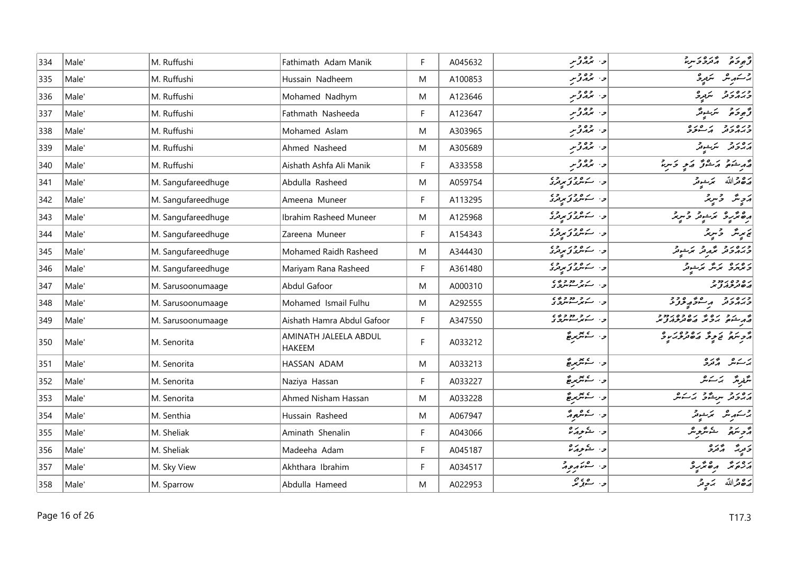| 334 | Male' | M. Ruffushi        | Fathimath Adam Manik                   | F         | A045632 | د . بروژبر                               | أوجده ورود و                                                                                                  |
|-----|-------|--------------------|----------------------------------------|-----------|---------|------------------------------------------|---------------------------------------------------------------------------------------------------------------|
| 335 | Male' | M. Ruffushi        | Hussain Nadheem                        | ${\sf M}$ | A100853 | و . بروژبر                               | يز سەر سى سىر سىر بىر                                                                                         |
| 336 | Male' | M. Ruffushi        | Mohamed Nadhym                         | ${\sf M}$ | A123646 | د به ده د بر<br>د برد و بر               | ورەر د پرېږو                                                                                                  |
| 337 | Male' | M. Ruffushi        | Fathmath Nasheeda                      | F         | A123647 | د . بره ژبر                              | أوَّجْوَحَمْ سَرَشِيشَ                                                                                        |
| 338 | Male' | M. Ruffushi        | Mohamed Aslam                          | M         | A303965 | د . بره د <sub>کر</sub>                  | ورەرو رەرە                                                                                                    |
| 339 | Male' | M. Ruffushi        | Ahmed Nasheed                          | M         | A305689 | –<br> وسيمهورس                           | ره رو شرور ترتیبر<br>محمد شرکت                                                                                |
| 340 | Male' | M. Ruffushi        | Aishath Ashfa Ali Manik                | F         | A333558 | د . بره د پر                             | ړٌ د څکې د کشو څکې د کاس                                                                                      |
| 341 | Male' | M. Sangufareedhuge | Abdulla Rasheed                        | ${\sf M}$ | A059754 | و٠ ستهرو تو د و ٤<br>و٠ ستهرو تو تو ترو  | أرة قرالله تمرشونر                                                                                            |
| 342 | Male' | M. Sangufareedhuge | Ameena Muneer                          | F         | A113295 | و٠ سەھرى ئېرىدى                          | ړَ پر دُ پر                                                                                                   |
| 343 | Male' | M. Sangufareedhuge | Ibrahim Rasheed Muneer                 | M         | A125968 | و٠ سکسرو تو پر و ›<br>و٠ سکسرو تو پر ترو | رەترىرو ترىنونر دىرىر                                                                                         |
| 344 | Male' | M. Sangufareedhuge | Zareena Muneer                         | F         | A154343 | د . سک <i>یندو پروی</i>                  | ىم پرېتر كى ئېرىد                                                                                             |
| 345 | Male' | M. Sangufareedhuge | Mohamed Raidh Rasheed                  | ${\sf M}$ | A344430 | د . سەندى ئەتەردى<br>مەنبەر ئەتەرىپەتلەر | ورەرو مەدتر مەشرى                                                                                             |
| 346 | Male' | M. Sangufareedhuge | Mariyam Rana Rasheed                   | F         | A361480 | و٠ سەمىرى توپرى                          | رەرە برىگە برىئون                                                                                             |
| 347 | Male' | M. Sarusoonumaage  | Abdul Gafoor                           | ${\sf M}$ | A000310 | د . ک د د د د و د و                      | ر ه و ه د دو و<br>پره تر پر تر بر                                                                             |
| 348 | Male' | M. Sarusoonumaage  | Mohamed Ismail Fulhu                   | ${\sf M}$ | A292555 | د . ک د د د د د د و                      | ورەرو برگۇپە ۋو                                                                                               |
| 349 | Male' | M. Sarusoonumaage  | Aishath Hamra Abdul Gafoor             | F         | A347550 | د . ک د د د د د د و                      | ه مشور ده به ده ده درد د<br>مگرشوی برونگر مصر در در د                                                         |
| 350 | Male' | M. Senorita        | AMINATH JALEELA ABDUL<br><b>HAKEEM</b> | F         | A033212 | د. سەئىترىرىقى                           | أزويتم فكجوقر ماه ووبريا و                                                                                    |
| 351 | Male' | M. Senorita        | HASSAN ADAM                            | ${\sf M}$ | A033213 | د. سەيىرىقى                              | ير کے مگر محمد حرکت کے مقدمت کے مقدمت کے مقدمت کے مقدمت کے مقدمت کے مقدمت کے مقدمت کے مقدمت کے مقدمت کے مقدمت |
| 352 | Male' | M. Senorita        | Naziya Hassan                          | F         | A033227 | د . سكوتيريجَ                            | سَّنْدِيَّزَ - يَاسَدُسْ                                                                                      |
| 353 | Male' | M. Senorita        | Ahmed Nisham Hassan                    | ${\sf M}$ | A033228 | اد، سكتمبر هُم                           | رەر دېر سرېندى كەسكىل                                                                                         |
| 354 | Male' | M. Senthia         | Hussain Rasheed                        | ${\sf M}$ | A067947 | د. سگورهگرورگر                           | چرىكىرىش كېرىسون                                                                                              |
| 355 | Male' | M. Sheliak         | Aminath Shenalin                       | F         | A043066 | والمشورة كالمرد                          | أأرجع المشارعة                                                                                                |
| 356 | Male' | M. Sheliak         | Madeeha Adam                           | F         | A045187 | والمشويرة                                | كەربە ئەترە                                                                                                   |
| 357 | Male' | M. Sky View        | Akhthara Ibrahim                       | F         | A034517 | $rac{2}{\sqrt{2}}$                       | رە رې<br>مەنبەتىر<br>دە ئەرد                                                                                  |
| 358 | Male' | M. Sparrow         | Abdulla Hameed                         | ${\sf M}$ | A022953 | و. سوءچ                                  | مَدْهُ مَرْاللّه سَرَجة                                                                                       |
|     |       |                    |                                        |           |         |                                          |                                                                                                               |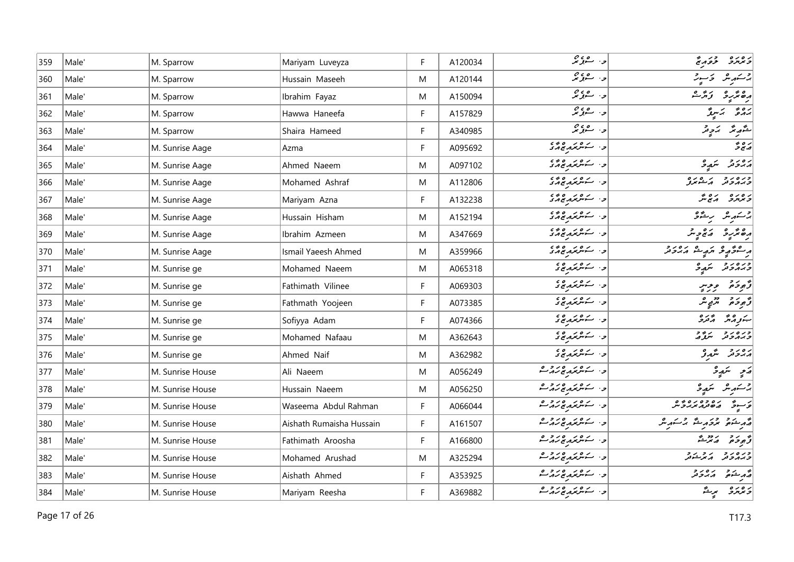| 359 | Male' | M. Sparrow       | Mariyam Luveyza          | F           | A120034 | و. ڪويو                                       | גםגם בגב                                    |
|-----|-------|------------------|--------------------------|-------------|---------|-----------------------------------------------|---------------------------------------------|
| 360 | Male' | M. Sparrow       | Hussain Maseeh           | M           | A120144 | و. ڪويو                                       | يزخيرند أوسير                               |
| 361 | Male' | M. Sparrow       | Ibrahim Fayaz            | M           | A150094 | د. ڪريمر                                      | وەغرىرو زۇي                                 |
| 362 | Male' | M. Sparrow       | Hawwa Haneefa            | F           | A157829 | د . سوړند                                     | رەق ئەسپۇ                                   |
| 363 | Male' | M. Sparrow       | Shaira Hameed            | $\mathsf F$ | A340985 | و، سروىر                                      | ڪمريمه<br>برَحٍ قر                          |
| 364 | Male' | M. Sunrise Aage  | Azma                     | $\mathsf F$ | A095692 | و. سەسىمە ئەھم                                | 587                                         |
| 365 | Male' | M. Sunrise Aage  | Ahmed Naeem              | M           | A097102 | د . ستر پر پر ۲۶۸۵<br>د . ستر پر پر ۲۸۵۶      | גפגב הקב                                    |
| 366 | Male' | M. Sunrise Aage  | Mohamed Ashraf           | M           | A112806 | و. سەشرىر مەم                                 | وره رو بر ۱۵ ده<br><del>د</del> بر پر شویرو |
| 367 | Male' | M. Sunrise Aage  | Mariyam Azna             | F           | A132238 | و. سەشكىر قەم                                 | و مرده ده پر                                |
| 368 | Male' | M. Sunrise Aage  | Hussain Hisham           | M           | A152194 | و. سەشرىكە ئەمم                               | يز سەر شەر بەشقى                            |
| 369 | Male' | M. Sunrise Aage  | Ibrahim Azmeen           | M           | A347669 | و. سەشرىر مەم                                 | رەنزىر مەرىپ                                |
| 370 | Male' | M. Sunrise Aage  | Ismail Yaeesh Ahmed      | M           | A359966 | و. سەشرىمە قامۇ                               | ړ څو په کري شه کارونو                       |
| 371 | Male' | M. Sunrise ge    | Mohamed Naeem            | M           | A065318 | د . سکنگریز دی د                              | ورەرو شھرو                                  |
| 372 | Male' | M. Sunrise ge    | Fathimath Vilinee        | $\mathsf F$ | A069303 | د . سکوپر پر و ،<br>م                         | وتموذة ومرسر                                |
| 373 | Male' | M. Sunrise ge    | Fathmath Yoojeen         | F           | A073385 | د . سکوپر پر ده پا                            | توجو حرق الرقم مر                           |
| 374 | Male' | M. Sunrise ge    | Sofiyya Adam             | F           | A074366 | د . سەنگەرىمى<br>مەسىر                        | ينو مدير مديره                              |
| 375 | Male' | M. Sunrise ge    | Mohamed Nafaau           | M           | A362643 | د . سکو <i>نگرو</i> غځ                        | ورەر د برود<br><i>دىد</i> ەر سرگە           |
| 376 | Male' | M. Sunrise ge    | Ahmed Naif               | M           | A362982 | د. سەشرىرىمى<br>س                             | دەر د شمېرتى                                |
| 377 | Male' | M. Sunrise House | Ali Naeem                | M           | A056249 | <sub>و</sub> . س <i>ەش<sub>كىر</sub>ى ئەڭ</i> | أركمج التميرة                               |
| 378 | Male' | M. Sunrise House | Hussain Naeem            | M           | A056250 | د. س <i>تمريز مي ز</i> ر م                    | 2 سُندس سَمِيرٌ                             |
| 379 | Male' | M. Sunrise House | Waseema Abdul Rahman     | $\mathsf F$ | A066044 | و. سەھرىرە جامەر ھ                            | د سرد دره ده ده ده.<br>و سرد مصرم بربروس    |
| 380 | Male' | M. Sunrise House | Aishath Rumaisha Hussain | F           | A161507 | <sub>و</sub> . سەنكىرى <sub>م ئە</sub> رمى    | ە ئەستىم بردۇرىش جاسكىرىش                   |
| 381 | Male' | M. Sunrise House | Fathimath Aroosha        | F           | A166800 | و. سەھەر يەر ئەرقى                            | و و د در در د                               |
| 382 | Male' | M. Sunrise House | Mohamed Arushad          | M           | A325294 | <sub>و</sub> . سەنكەر ئەرمىگە ئىكەن           | ورەرو روپەر<br><i>وبەدونر م</i> ىرشك        |
| 383 | Male' | M. Sunrise House | Aishath Ahmed            | F           | A353925 | و. سەھرىرى ئەرقى                              | وكرشكو ورود                                 |
| 384 | Male' | M. Sunrise House | Mariyam Reesha           | F           | A369882 | <sub>ج</sub> . سەنكىرىم <i>قارقى</i> ش        | أترەرە برېش                                 |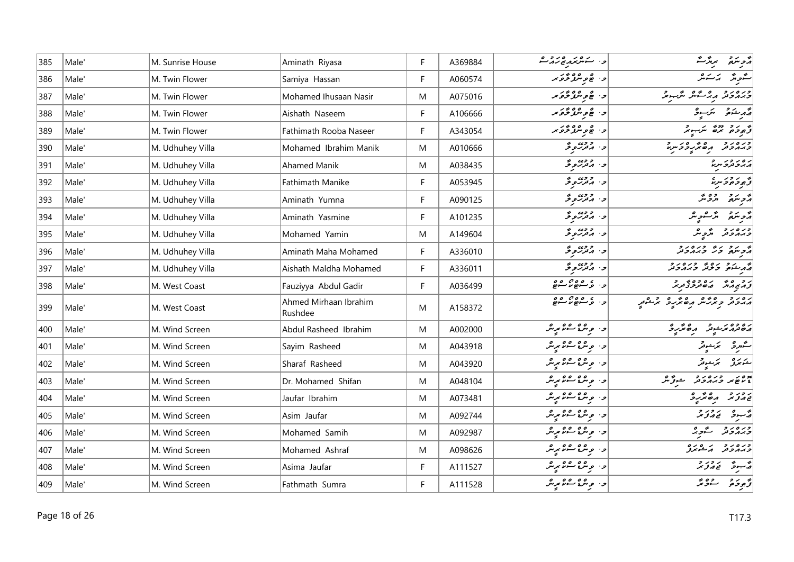| 385 | Male' | M. Sunrise House | Aminath Riyasa                   | F | A369884 | و سوپر مرکز ده د                                   | أأزجر سكرة المرمرائية                             |
|-----|-------|------------------|----------------------------------|---|---------|----------------------------------------------------|---------------------------------------------------|
| 386 | Male' | M. Twin Flower   | Samiya Hassan                    | F | A060574 | و . غور موثوقو بر                                  | ستماداته الاستانتر                                |
| 387 | Male' | M. Twin Flower   | Mohamed Ihusaan Nasir            | M | A075016 | و· غور موثوقو بر                                   | ورەرو روشگىر ئۇببول                               |
| 388 | Male' | M. Twin Flower   | Aishath Naseem                   | F | A106666 | و· غومبر توکار                                     | وأرشكم الترسور                                    |
| 389 | Male' | M. Twin Flower   | Fathimath Rooba Naseer           | F | A343054 | و· غويتروگوند                                      | أوجرد وده مرسومه                                  |
| 390 | Male' | M. Udhuhey Villa | Mohamed Ibrahim Manik            | M | A010666 | - دوره و مح<br> و· معر <i>ز و</i> مح               | כמחכנר תפתובבתיו                                  |
| 391 | Male' | M. Udhuhey Villa | <b>Ahamed Manik</b>              | M | A038435 | ر دون<br>او . اد ترکونگر                           | ر و ر د ر ر<br>ג ژ ژ ترو سرړ                      |
| 392 | Male' | M. Udhuhey Villa | Fathimath Manike                 | F | A053945 | و . دون <sub>و</sub> ع                             | اژ <sub>ھ جا</sub> جو جا سرچ<br>سرچ               |
| 393 | Male' | M. Udhuhey Villa | Aminath Yumna                    | F | A090125 | و به دون <sub>و</sub> و گ                          | ړ په ده پر                                        |
| 394 | Male' | M. Udhuhey Villa | Aminath Yasmine                  | F | A101235 | و ۱۰ درمن <sub>حو</sub> ثر                         | ۇ ئەسىر ئەر ئەسىر ئىر                             |
| 395 | Male' | M. Udhuhey Villa | Mohamed Yamin                    | M | A149604 | و به دون <sub>و</sub> و گ                          | ورەرو ئەر ئىگە                                    |
| 396 | Male' | M. Udhuhey Villa | Aminath Maha Mohamed             | F | A336010 | – دون<br>و· معر <i>ز و</i> وٌ                      | أأدبره رواد وره دو                                |
| 397 | Male' | M. Udhuhey Villa | Aishath Maldha Mohamed           | F | A336011 |                                                    | ورشكا وكالمروج وبرادان                            |
| 398 | Male' | M. West Coast    | Fauziyya Abdul Gadir             | F | A036499 | ى ئ <sub>ە</sub> م 200 مۇ                          | و د وه د دووه د د                                 |
| 399 | Male' | M. West Coast    | Ahmed Mirhaan Ibrahim<br>Rushdee | M | A158372 | ى مى مەم <i>مى م</i> وم                            | رورد و وورم ره ورو و دهر                          |
| 400 | Male' | M. Wind Screen   | Abdul Rasheed Ibrahim            | M | A002000 | ح <sub>التح</sub> ريد و مع مريد الم                | נס כס ג ביב הס בנים                               |
| 401 | Male' | M. Wind Screen   | Sayim Rasheed                    | M | A043918 | د <sub>: ع</sub> رمو مصر مر مر                     | سەر كەن كەن ئە                                    |
| 402 | Male' | M. Wind Screen   | Sharaf Rasheed                   | M | A043920 | د . <sub>و</sub> مث <sub>نا</sub> مشامر میں<br>م   | <br> خەنزى ئەسىم                                  |
| 403 | Male' | M. Wind Screen   | Dr. Mohamed Shifan               | M | A048104 | د <sub>، ع</sub> رمو قام پرېتر                     | بده ر دره در شوگرمن<br>ج م ج بر د بر بر در شوگرمن |
| 404 | Male' | M. Wind Screen   | Jaufar Ibrahim                   | M | A073481 | د . <sub>ع</sub> رموه ۹۵ مرمر                      | ودود مقترره                                       |
| 405 | Male' | M. Wind Screen   | Asim Jaufar                      | M | A092744 | ح <sub>ا</sub> ج <sub>ا</sub> مبر عام محمد میں ملک | ىر 3 مۇكىر<br>مەكىرىمى<br>لتجسبونه                |
| 406 | Male' | M. Wind Screen   | Mohamed Samih                    | M | A092987 | د . <sub>عو</sub> مثر، سرمرمبر                     | و ره ر و<br>تر پر ژ تر<br>ستثور                   |
| 407 | Male' | M. Wind Screen   | Mohamed Ashraf                   | M | A098626 | د <sub>: ع</sub> رمو مصر مر مر                     | وره رو بر شوبره<br>وبربروتر بر شوبرتر             |
| 408 | Male' | M. Wind Screen   | Asima Jaufar                     | F | A111527 | د <sub>: ع</sub> رمو مصر مر مر                     | لأسوق المادونو                                    |
| 409 | Male' | M. Wind Screen   | Fathmath Sumra                   | F | A111528 | د <sub>: ع</sub> رمان وه م <sub>ح</sub> رمان       | أزجر ومحدثه                                       |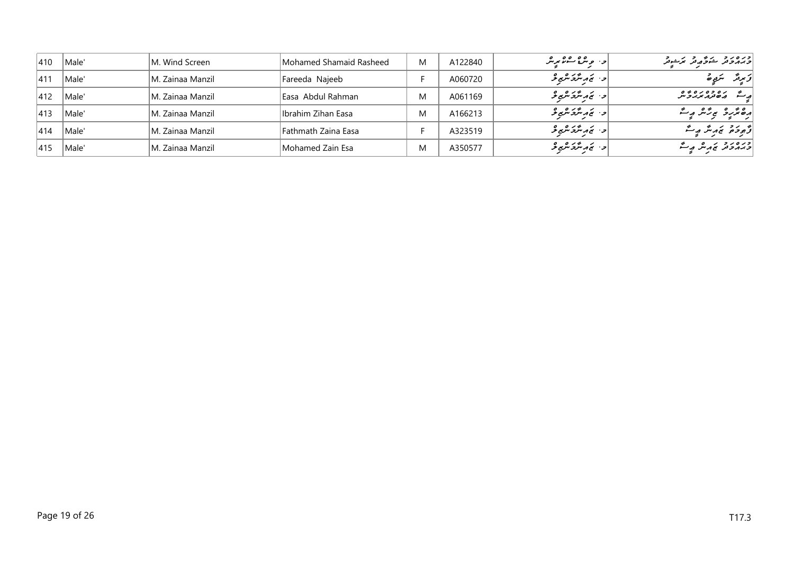| $ 410\rangle$ | Male' | M. Wind Screen    | Mohamed Shamaid Rasheed | M | A122840 | د . وېږه کشه تر متر  | ورە رومى شەۋەر تەر ئەر ئەر |
|---------------|-------|-------------------|-------------------------|---|---------|----------------------|----------------------------|
| 411           | Male' | lM. Zainaa Manzil | Fareeda Najeeb          |   | A060720 | د· ئەرىئرى ئىرىمى ئى | تى برىگر _ سَرْمِج ھ       |
| $ 412\rangle$ | Male' | lM. Zainaa Manzil | lEasa Abdul Rahman      | M | A061169 | د· ئەرىئرۇشى ۋ       | د شده ده ده ده و م         |
| $ 413\rangle$ | Male' | IM. Zainaa Manzil | Ilbrahim Zihan Easa     | M | A166213 | د· ئەرىئرى ئىرى ئى   | أرەنزېرو برىئىد رېڭ        |
| 414           | Male' | lM. Zainaa Manzil | Fathmath Zaina Easa     |   | A323519 | د· ئەرىئرى ئىرىمى ئى | ۇ ئۇچ ئەر ئىر مەشر مېرىش   |
| 415           | Male' | lM. Zainaa Manzil | Mohamed Zain Esa        | M | A350577 | د· ئەرىئرىزىدى بۇ    | دره رو ری مرش مرت          |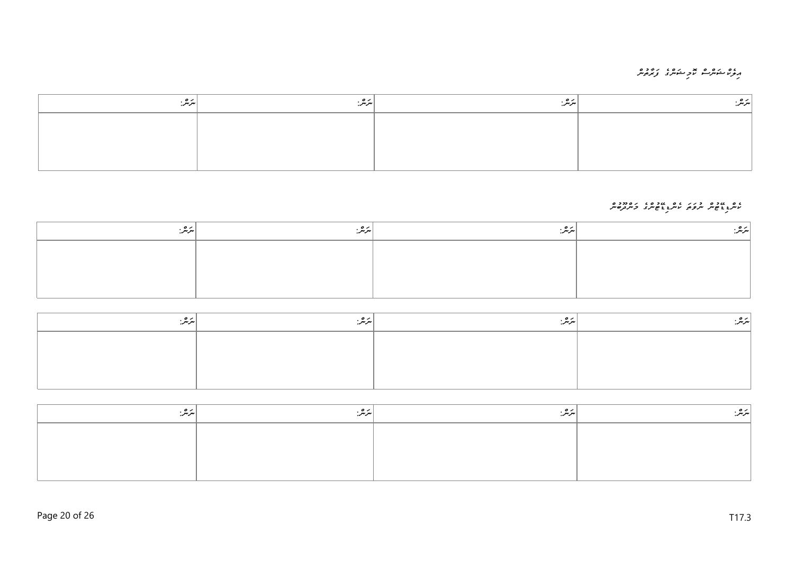## *w7qAn8m? sCw7mRo>u; wEw7mRw;sBo<*

| ' مرمر | 'يئرىثر: |
|--------|----------|
|        |          |
|        |          |
|        |          |

## *w7q9r@w7m> sCw7qHtFoFw7s; mAm=q7 w7qHtFoFw7s;*

| يئرمىش: | $^{\circ}$<br>. سر سر<br>$\cdot$ | $\circ$ $\sim$<br>-- | يئرمثر |
|---------|----------------------------------|----------------------|--------|
|         |                                  |                      |        |
|         |                                  |                      |        |
|         |                                  |                      |        |

| $\frac{2}{n}$ | $\overline{\phantom{a}}$ | اير هنه. | $\mathcal{O} \times$<br>سرسر |
|---------------|--------------------------|----------|------------------------------|
|               |                          |          |                              |
|               |                          |          |                              |
|               |                          |          |                              |

| ' ئىرتىر: | سر سر |  |
|-----------|-------|--|
|           |       |  |
|           |       |  |
|           |       |  |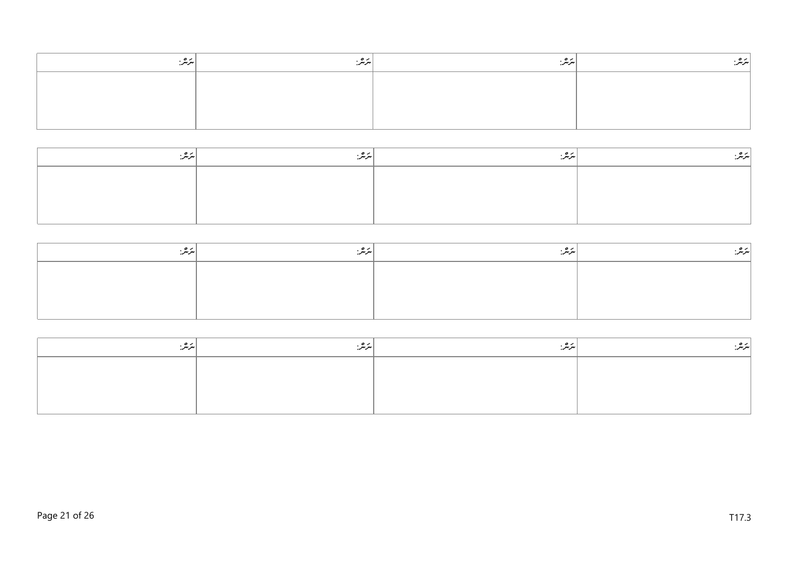| يزهر | $^{\circ}$ | ىئرىتر: |  |
|------|------------|---------|--|
|      |            |         |  |
|      |            |         |  |
|      |            |         |  |

| متريثر به | 。<br>َ سرسر ِ | يتزيترا | سرسر |
|-----------|---------------|---------|------|
|           |               |         |      |
|           |               |         |      |
|           |               |         |      |

| ىرتىر: | $\sim$ | ا بر هه. | لىرىش |
|--------|--------|----------|-------|
|        |        |          |       |
|        |        |          |       |
|        |        |          |       |

| 。<br>مرس. | $\overline{\phantom{a}}$<br>مر سر | ىرىر |
|-----------|-----------------------------------|------|
|           |                                   |      |
|           |                                   |      |
|           |                                   |      |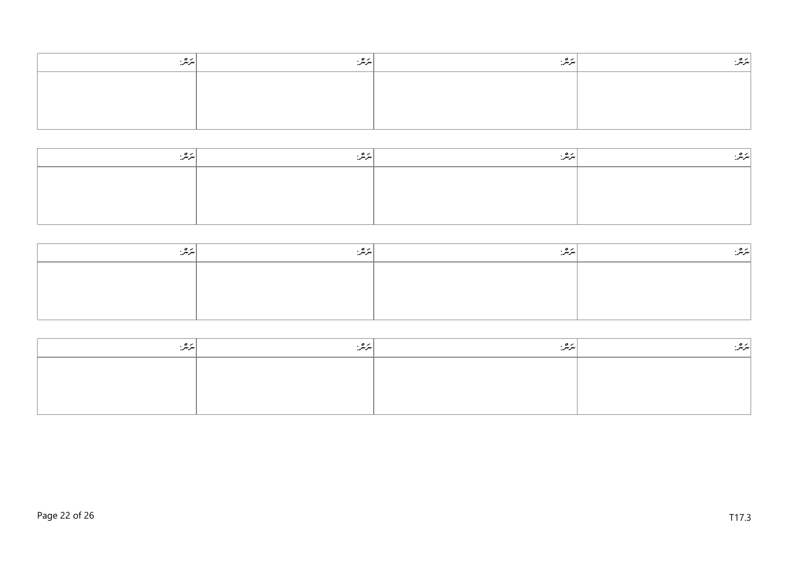| ير هو . | $\overline{\phantom{a}}$ | يرمر | اير هنه. |
|---------|--------------------------|------|----------|
|         |                          |      |          |
|         |                          |      |          |
|         |                          |      |          |

| ىئرىتى: | الترنثين | ا بر هر: | o <i>~</i><br>َ سرسر |
|---------|----------|----------|----------------------|
|         |          |          |                      |
|         |          |          |                      |
|         |          |          |                      |

| كترنثر: | 。 | 。<br>سمرسم. | o <i>~</i> |
|---------|---|-------------|------------|
|         |   |             |            |
|         |   |             |            |
|         |   |             |            |

|  | . ه |
|--|-----|
|  |     |
|  |     |
|  |     |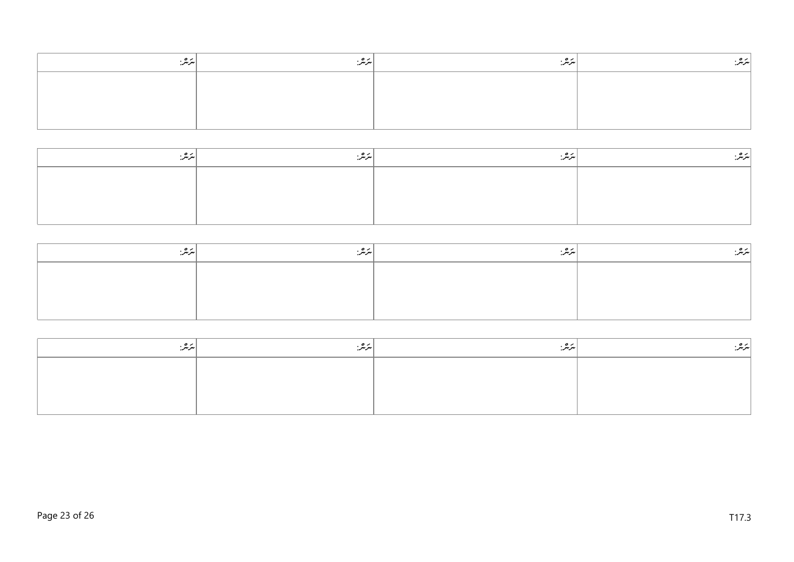| ير هو . | $\overline{\phantom{a}}$ | يرمر | اير هنه. |
|---------|--------------------------|------|----------|
|         |                          |      |          |
|         |                          |      |          |
|         |                          |      |          |

| ىئرىتى: | الترنثين | ا بر هر: | o <i>~</i><br>َ سرسر |
|---------|----------|----------|----------------------|
|         |          |          |                      |
|         |          |          |                      |
|         |          |          |                      |

| كترنثر: | 。 | 。<br>سمرسم. | o <i>~</i> |
|---------|---|-------------|------------|
|         |   |             |            |
|         |   |             |            |
|         |   |             |            |

|  | . ه |
|--|-----|
|  |     |
|  |     |
|  |     |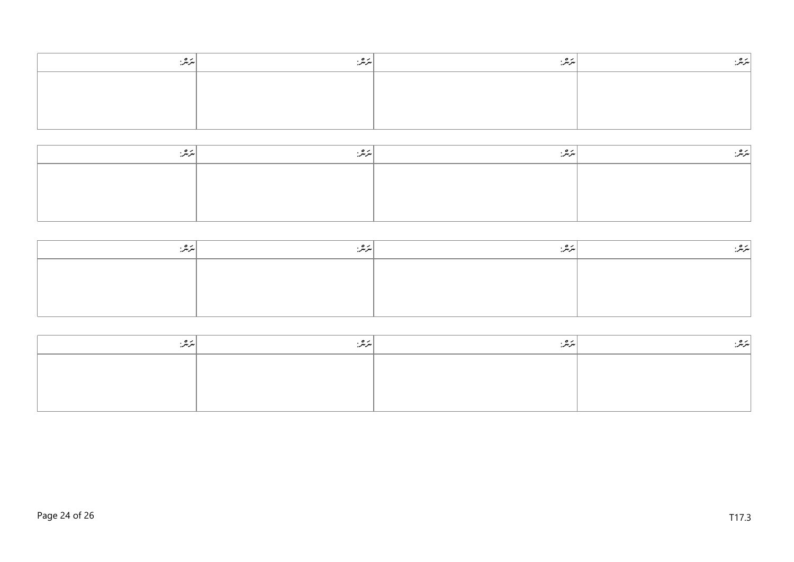| $\cdot$ | 。 | $\frac{\circ}{\cdot}$ | $\sim$<br>سرسر |
|---------|---|-----------------------|----------------|
|         |   |                       |                |
|         |   |                       |                |
|         |   |                       |                |

| يريثن | ' سرسر . |  |
|-------|----------|--|
|       |          |  |
|       |          |  |
|       |          |  |

| بر ه | . ه | $\sim$<br>سرسر |  |
|------|-----|----------------|--|
|      |     |                |  |
|      |     |                |  |
|      |     |                |  |

| 。<br>. س | ىرىىر |  |
|----------|-------|--|
|          |       |  |
|          |       |  |
|          |       |  |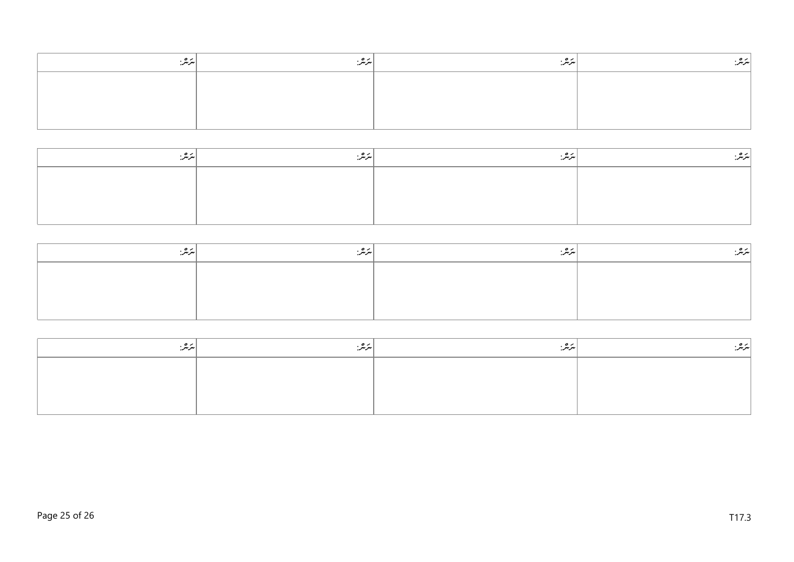| ير هو . | $\overline{\phantom{a}}$ | يرمر | اير هنه. |
|---------|--------------------------|------|----------|
|         |                          |      |          |
|         |                          |      |          |
|         |                          |      |          |

| ىر ھ | $\circ$ $\sim$<br>ا سرسر. | $\circ$ $\sim$<br>' سرسر . | o <i>~</i><br>سرسر. |
|------|---------------------------|----------------------------|---------------------|
|      |                           |                            |                     |
|      |                           |                            |                     |
|      |                           |                            |                     |

| كترنثر: | 。 | 。<br>سرسر. | o <i>~</i> |
|---------|---|------------|------------|
|         |   |            |            |
|         |   |            |            |
|         |   |            |            |

|  | . ه |
|--|-----|
|  |     |
|  |     |
|  |     |